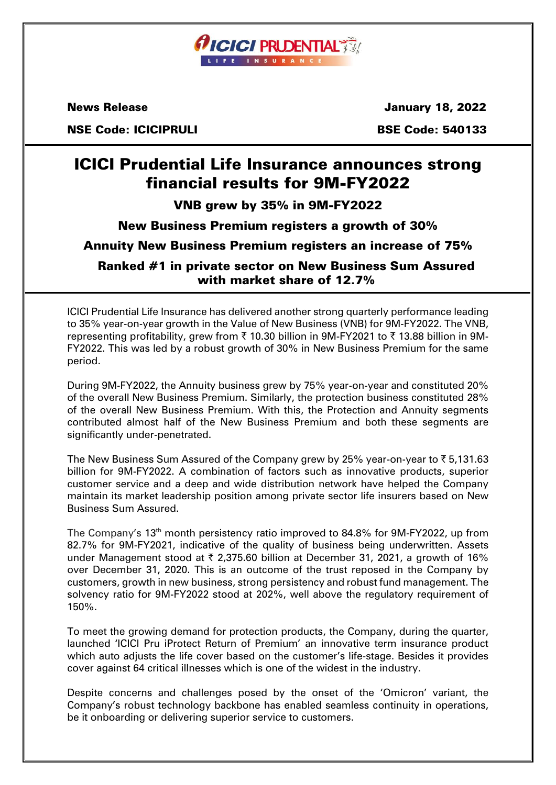

 $\overline{a}$ 

News Release January 18, 2022

NSE Code: ICICIPRULI BSE Code: 540133

# ICICI Prudential Life Insurance announces strong financial results for 9M-FY2022

# VNB grew by 35% in 9M-FY2022

# New Business Premium registers a growth of 30%

# Annuity New Business Premium registers an increase of 75%

# Ranked #1 in private sector on New Business Sum Assured with market share of 12.7%

ICICI Prudential Life Insurance has delivered another strong quarterly performance leading to 35% year-on-year growth in the Value of New Business (VNB) for 9M-FY2022. The VNB, representing profitability, grew from ₹ 10.30 billion in 9M-FY2021 to ₹ 13.88 billion in 9M-FY2022. This was led by a robust growth of 30% in New Business Premium for the same period.

During 9M-FY2022, the Annuity business grew by 75% year-on-year and constituted 20% of the overall New Business Premium. Similarly, the protection business constituted 28% of the overall New Business Premium. With this, the Protection and Annuity segments contributed almost half of the New Business Premium and both these segments are significantly under-penetrated.

The New Business Sum Assured of the Company grew by 25% year-on-year to  $\bar{\tau}$  5,131.63 billion for 9M-FY2022. A combination of factors such as innovative products, superior customer service and a deep and wide distribution network have helped the Company maintain its market leadership position among private sector life insurers based on New Business Sum Assured.

The Company's 13<sup>th</sup> month persistency ratio improved to 84.8% for 9M-FY2022, up from 82.7% for 9M-FY2021, indicative of the quality of business being underwritten. Assets under Management stood at  $\bar{\tau}$  2,375.60 billion at December 31, 2021, a growth of 16% over December 31, 2020. This is an outcome of the trust reposed in the Company by customers, growth in new business, strong persistency and robust fund management. The solvency ratio for 9M-FY2022 stood at 202%, well above the regulatory requirement of 150%.

To meet the growing demand for protection products, the Company, during the quarter, launched 'ICICI Pru iProtect Return of Premium' an innovative term insurance product which auto adjusts the life cover based on the customer's life-stage. Besides it provides cover against 64 critical illnesses which is one of the widest in the industry.

Despite concerns and challenges posed by the onset of the 'Omicron' variant, the Company's robust technology backbone has enabled seamless continuity in operations, be it onboarding or delivering superior service to customers.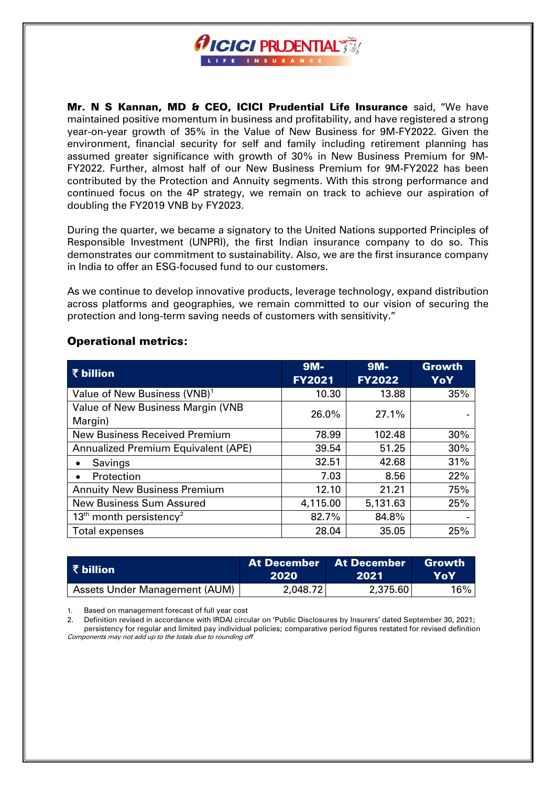

Mr. N S Kannan, MD & CEO, ICICI Prudential Life Insurance said, "We have maintained positive momentum in business and profitability, and have registered a strong year-on-year growth of 35% in the Value of New Business for 9M-FY2022. Given the environment, financial security for self and family including retirement planning has assumed greater significance with growth of 30% in New Business Premium for 9M-FY2022. Further, almost half of our New Business Premium for 9M-FY2022 has been contributed by the Protection and Annuity segments. With this strong performance and continued focus on the 4P strategy, we remain on track to achieve our aspiration of doubling the FY2019 VNB by FY2023.

During the quarter, we became a signatory to the United Nations supported Principles of Responsible Investment (UNPRI), the first Indian insurance company to do so. This demonstrates our commitment to sustainability. Also, we are the first insurance company in India to offer an ESG-focused fund to our customers.

As we continue to develop innovative products, leverage technology, expand distribution across platforms and geographies, we remain committed to our vision of securing the protection and long-term saving needs of customers with sensitivity."

| ₹ billion                                       | $9M -$<br><b>FY2021</b> | $9M -$<br><b>FY2022</b> | <b>Growth</b><br>YoY |
|-------------------------------------------------|-------------------------|-------------------------|----------------------|
| Value of New Business (VNB) <sup>1</sup>        | 10.30                   | 13.88                   | 35%                  |
| Value of New Business Margin (VNB<br>Margin)    | 26.0%                   | 27.1%                   |                      |
| <b>New Business Received Premium</b>            | 78.99                   | 102.48                  | 30%                  |
| <b>Annualized Premium Equivalent (APE)</b>      | 51.25<br>39.54          |                         | 30%                  |
| Savings                                         | 32.51                   | 42.68                   | 31%                  |
| Protection                                      | 7.03                    | 8.56                    | 22%                  |
| <b>Annuity New Business Premium</b>             | 12.10                   | 21.21                   | 75%                  |
| <b>New Business Sum Assured</b>                 | 4,115.00                | 5,131.63                | 25%                  |
| 13 <sup>th</sup> month persistency <sup>2</sup> | 82.7%                   | 84.8%                   |                      |
| Total expenses                                  | 28.04                   | 35.05                   | 25%                  |

# Operational metrics:

| ₹ billion                            | 2020     | <b>At December At December</b><br>-2021 | Growth<br>YoY |  |
|--------------------------------------|----------|-----------------------------------------|---------------|--|
| <b>Assets Under Management (AUM)</b> | 2,048.72 | 2,375.60                                | $16\%$ .      |  |

1. Based on management forecast of full year cost

2. Definition revised in accordance with IRDAI circular on 'Public Disclosures by Insurers' dated September 30, 2021; persistency for regular and limited pay individual policies; comparative period figures restated for revised definition Components may not add up to the totals due to rounding off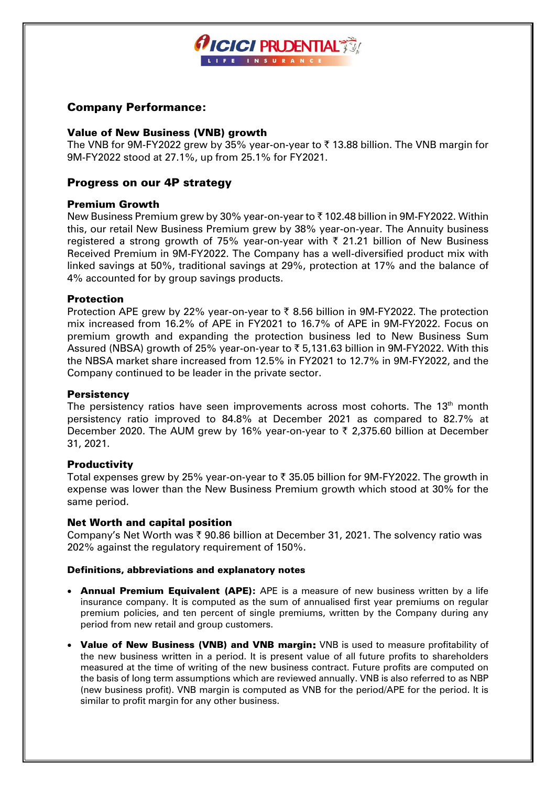

# Company Performance:

# Value of New Business (VNB) growth

The VNB for 9M-FY2022 grew by 35% year-on-year to  $\bar{\tau}$  13.88 billion. The VNB margin for 9M-FY2022 stood at 27.1%, up from 25.1% for FY2021.

# Progress on our 4P strategy

# Premium Growth

New Business Premium grew by 30% year-on-year to  $\bar{\tau}$  102.48 billion in 9M-FY2022. Within this, our retail New Business Premium grew by 38% year-on-year. The Annuity business registered a strong growth of 75% year-on-year with  $\bar{\tau}$  21.21 billion of New Business Received Premium in 9M-FY2022. The Company has a well-diversified product mix with linked savings at 50%, traditional savings at 29%, protection at 17% and the balance of 4% accounted for by group savings products.

# Protection

Protection APE grew by 22% year-on-year to  $\bar{\zeta}$  8.56 billion in 9M-FY2022. The protection mix increased from 16.2% of APE in FY2021 to 16.7% of APE in 9M-FY2022. Focus on premium growth and expanding the protection business led to New Business Sum Assured (NBSA) growth of 25% year-on-year to ₹5,131.63 billion in 9M-FY2022. With this the NBSA market share increased from 12.5% in FY2021 to 12.7% in 9M-FY2022, and the Company continued to be leader in the private sector.

# **Persistency**

The persistency ratios have seen improvements across most cohorts. The  $13<sup>th</sup>$  month persistency ratio improved to 84.8% at December 2021 as compared to 82.7% at December 2020. The AUM grew by 16% year-on-year to  $\bar{\tau}$  2,375.60 billion at December 31, 2021.

# **Productivity**

Total expenses grew by 25% year-on-year to  $\bar{\tau}$  35.05 billion for 9M-FY2022. The growth in expense was lower than the New Business Premium growth which stood at 30% for the same period.

### Net Worth and capital position

Company's Net Worth was  $\bar{\tau}$  90.86 billion at December 31, 2021. The solvency ratio was 202% against the regulatory requirement of 150%.

# Definitions, abbreviations and explanatory notes

- Annual Premium Equivalent (APE): APE is a measure of new business written by a life insurance company. It is computed as the sum of annualised first year premiums on regular premium policies, and ten percent of single premiums, written by the Company during any period from new retail and group customers.
- Value of New Business (VNB) and VNB margin: VNB is used to measure profitability of the new business written in a period. It is present value of all future profits to shareholders measured at the time of writing of the new business contract. Future profits are computed on the basis of long term assumptions which are reviewed annually. VNB is also referred to as NBP (new business profit). VNB margin is computed as VNB for the period/APE for the period. It is similar to profit margin for any other business.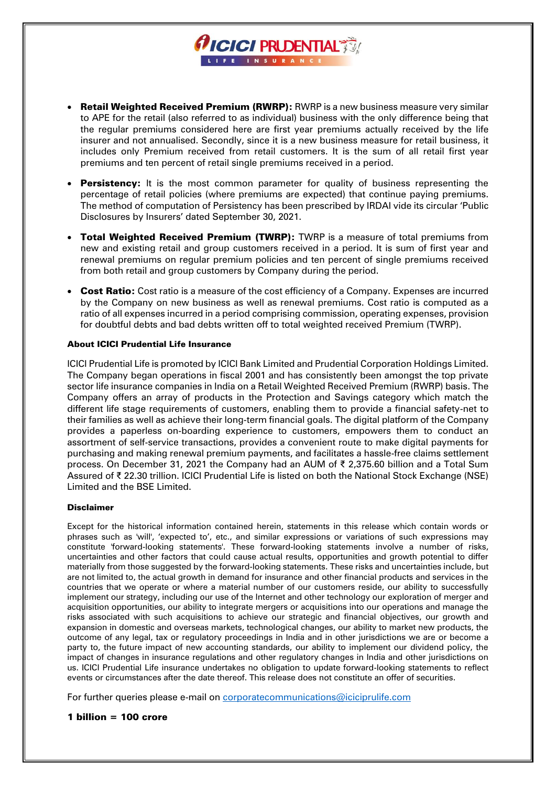

*CICICI PRUDENTIAL TO* FE INSURAN

- **Persistency:** It is the most common parameter for quality of business representing the percentage of retail policies (where premiums are expected) that continue paying premiums. The method of computation of Persistency has been prescribed by IRDAI vide its circular 'Public Disclosures by Insurers' dated September 30, 2021.
- Total Weighted Received Premium (TWRP): TWRP is a measure of total premiums from new and existing retail and group customers received in a period. It is sum of first year and renewal premiums on regular premium policies and ten percent of single premiums received from both retail and group customers by Company during the period.
- **Cost Ratio:** Cost ratio is a measure of the cost efficiency of a Company. Expenses are incurred by the Company on new business as well as renewal premiums. Cost ratio is computed as a ratio of all expenses incurred in a period comprising commission, operating expenses, provision for doubtful debts and bad debts written off to total weighted received Premium (TWRP).

### About ICICI Prudential Life Insurance

ICICI Prudential Life is promoted by ICICI Bank Limited and Prudential Corporation Holdings Limited. The Company began operations in fiscal 2001 and has consistently been amongst the top private sector life insurance companies in India on a Retail Weighted Received Premium (RWRP) basis. The Company offers an array of products in the Protection and Savings category which match the different life stage requirements of customers, enabling them to provide a financial safety-net to their families as well as achieve their long-term financial goals. The digital platform of the Company provides a paperless on-boarding experience to customers, empowers them to conduct an assortment of self-service transactions, provides a convenient route to make digital payments for purchasing and making renewal premium payments, and facilitates a hassle-free claims settlement process. On December 31, 2021 the Company had an AUM of ₹ 2,375.60 billion and a Total Sum Assured of ₹ 22.30 trillion. ICICI Prudential Life is listed on both the National Stock Exchange (NSE) Limited and the BSE Limited.

### Disclaimer

Except for the historical information contained herein, statements in this release which contain words or phrases such as 'will', 'expected to', etc., and similar expressions or variations of such expressions may constitute 'forward-looking statements'. These forward-looking statements involve a number of risks, uncertainties and other factors that could cause actual results, opportunities and growth potential to differ materially from those suggested by the forward-looking statements. These risks and uncertainties include, but are not limited to, the actual growth in demand for insurance and other financial products and services in the countries that we operate or where a material number of our customers reside, our ability to successfully implement our strategy, including our use of the Internet and other technology our exploration of merger and acquisition opportunities, our ability to integrate mergers or acquisitions into our operations and manage the risks associated with such acquisitions to achieve our strategic and financial objectives, our growth and expansion in domestic and overseas markets, technological changes, our ability to market new products, the outcome of any legal, tax or regulatory proceedings in India and in other jurisdictions we are or become a party to, the future impact of new accounting standards, our ability to implement our dividend policy, the impact of changes in insurance regulations and other regulatory changes in India and other jurisdictions on us. ICICI Prudential Life insurance undertakes no obligation to update forward-looking statements to reflect events or circumstances after the date thereof. This release does not constitute an offer of securities.

For further queries please e-mail on corporatecommunications@iciciprulife.com

### 1 billion = 100 crore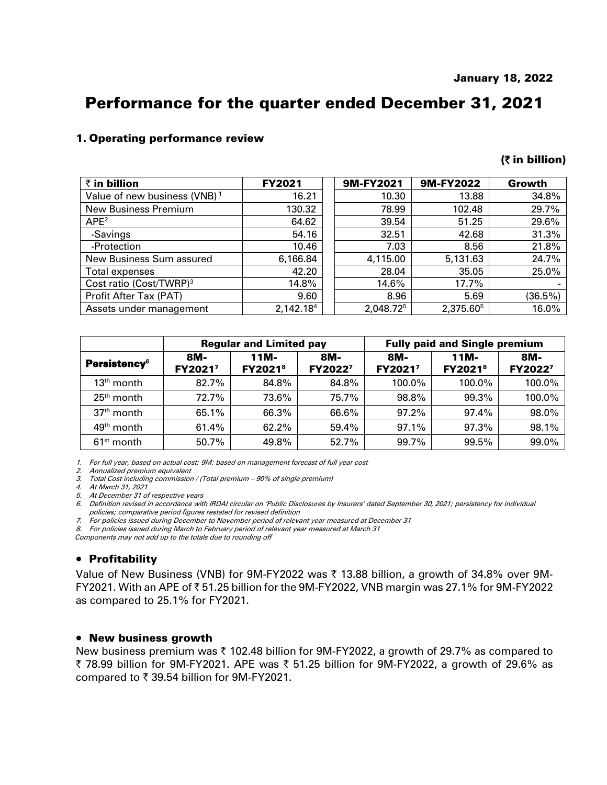# Performance for the quarter ended December 31, 2021

# 1. Operating performance review

### (` in billion)

| $\bar{\tau}$ in billion                  | <b>FY2021</b> | 9M-FY2021 | 9M-FY2022             | Growth  |
|------------------------------------------|---------------|-----------|-----------------------|---------|
| Value of new business (VNB) <sup>1</sup> | 16.21         | 10.30     | 13.88                 | 34.8%   |
| <b>New Business Premium</b>              | 130.32        | 78.99     | 102.48                | 29.7%   |
| APE <sup>2</sup>                         | 64.62         | 39.54     | 51.25                 | 29.6%   |
| -Savings                                 | 54.16         | 32.51     | 42.68                 | 31.3%   |
| -Protection                              | 10.46         | 7.03      | 8.56                  | 21.8%   |
| New Business Sum assured                 | 6,166.84      | 4,115.00  | 5,131.63              | 24.7%   |
| Total expenses                           | 42.20         | 28.04     | 35.05                 | 25.0%   |
| Cost ratio (Cost/TWRP) <sup>3</sup>      | 14.8%         | 14.6%     | 17.7%                 |         |
| Profit After Tax (PAT)                   | 9.60          | 8.96      | 5.69                  | (36.5%) |
| Assets under management                  | 2,142.184     | 2,048.725 | 2,375.60 <sup>5</sup> | 16.0%   |

|                                 | <b>Regular and Limited pay</b> |                                    |                | <b>Fully paid and Single premium</b> |                                       |                |  |
|---------------------------------|--------------------------------|------------------------------------|----------------|--------------------------------------|---------------------------------------|----------------|--|
| <b>Persistency</b> <sup>6</sup> | 8M-<br>FY2021 <sup>7</sup>     | 11M-<br><b>FY2021</b> <sup>8</sup> | 8M-<br>FY20227 | 8M-<br>FY2021 <sup>7</sup>           | $11M -$<br><b>FY2021</b> <sup>8</sup> | 8M-<br>FY20227 |  |
| $13th$ month                    | 82.7%                          | 84.8%                              | 84.8%          | 100.0%                               | 100.0%                                | 100.0%         |  |
| $25th$ month                    | 72.7%                          | 73.6%                              | 75.7%          | 98.8%                                | 99.3%                                 | 100.0%         |  |
| $37th$ month                    | 65.1%                          | 66.3%                              | 66.6%          | $97.2\%$                             | 97.4%                                 | 98.0%          |  |
| 49 <sup>th</sup> month          | 61.4%                          | 62.2%                              | 59.4%          | 97.1%                                | 97.3%                                 | 98.1%          |  |
| $61st$ month                    | 50.7%                          | 49.8%                              | 52.7%          | 99.7%                                | 99.5%                                 | 99.0%          |  |

1. For full year, based on actual cost; 9M: based on management forecast of full year cost

2. Annualized premium equivalent

3. Total Cost including commission / (Total premium – 90% of single premium) 4. At March 31, 2021

5. At December 31 of respective years

6. Definition revised in accordance with IRDAI circular on 'Public Disclosures by Insurers' dated September 30, 2021; persistency for individual policies; comparative period figures restated for revised definition

7. For policies issued during December to November period of relevant year measured at December 31

8. For policies issued during March to February period of relevant year measured at March 31

Components may not add up to the totals due to rounding off

## **• Profitability**

Value of New Business (VNB) for 9M-FY2022 was  $\bar{\tau}$  13.88 billion, a growth of 34.8% over 9M-FY2021. With an APE of  $\overline{\tau}$  51.25 billion for the 9M-FY2022, VNB margin was 27.1% for 9M-FY2022 as compared to 25.1% for FY2021.

### New business growth

New business premium was  $\bar{\tau}$  102.48 billion for 9M-FY2022, a growth of 29.7% as compared to ₹ 78.99 billion for 9M-FY2021. APE was ₹ 51.25 billion for 9M-FY2022, a growth of 29.6% as compared to  $\overline{\mathfrak{c}}$  39.54 billion for 9M-FY2021.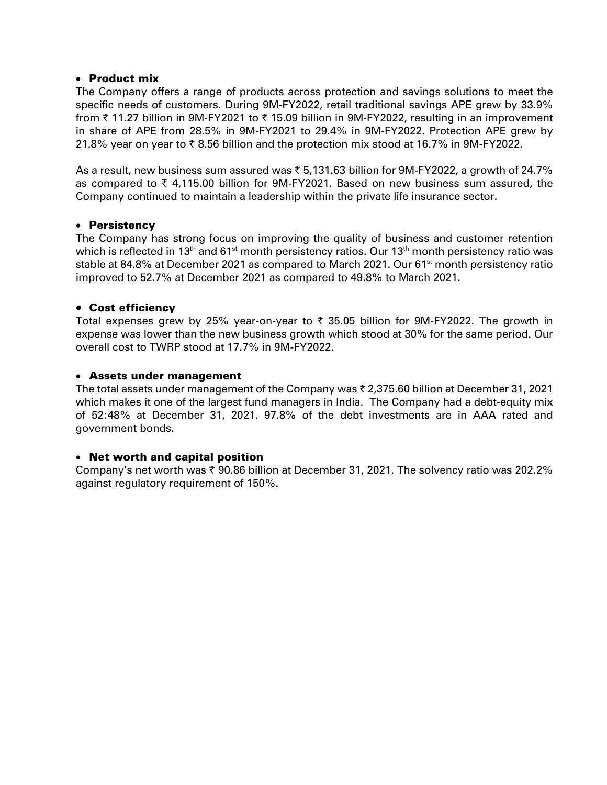# Product mix

The Company offers a range of products across protection and savings solutions to meet the specific needs of customers. During 9M-FY2022, retail traditional savings APE grew by 33.9% from  $\bar{\tau}$  11.27 billion in 9M-FY2021 to  $\bar{\tau}$  15.09 billion in 9M-FY2022, resulting in an improvement in share of APE from 28.5% in 9M-FY2021 to 29.4% in 9M-FY2022. Protection APE grew by 21.8% year on year to  $\bar{\tau}$  8.56 billion and the protection mix stood at 16.7% in 9M-FY2022.

As a result, new business sum assured was  $\bar{\tau}$  5,131.63 billion for 9M-FY2022, a growth of 24.7% as compared to  $\bar{\tau}$  4,115.00 billion for 9M-FY2021. Based on new business sum assured, the Company continued to maintain a leadership within the private life insurance sector.

# Persistency

The Company has strong focus on improving the quality of business and customer retention which is reflected in 13<sup>th</sup> and 61<sup>st</sup> month persistency ratios. Our 13<sup>th</sup> month persistency ratio was stable at 84.8% at December 2021 as compared to March 2021. Our 61<sup>st</sup> month persistency ratio improved to 52.7% at December 2021 as compared to 49.8% to March 2021.

# Cost efficiency

Total expenses grew by 25% year-on-year to  $\bar{\tau}$  35.05 billion for 9M-FY2022. The growth in expense was lower than the new business growth which stood at 30% for the same period. Our overall cost to TWRP stood at 17.7% in 9M-FY2022.

# Assets under management

The total assets under management of the Company was  $\bar{\tau}$  2,375.60 billion at December 31, 2021 which makes it one of the largest fund managers in India. The Company had a debt-equity mix of 52:48% at December 31, 2021. 97.8% of the debt investments are in AAA rated and government bonds.

# Net worth and capital position

Company's net worth was  $\bar{x}$  90.86 billion at December 31, 2021. The solvency ratio was 202.2% against regulatory requirement of 150%.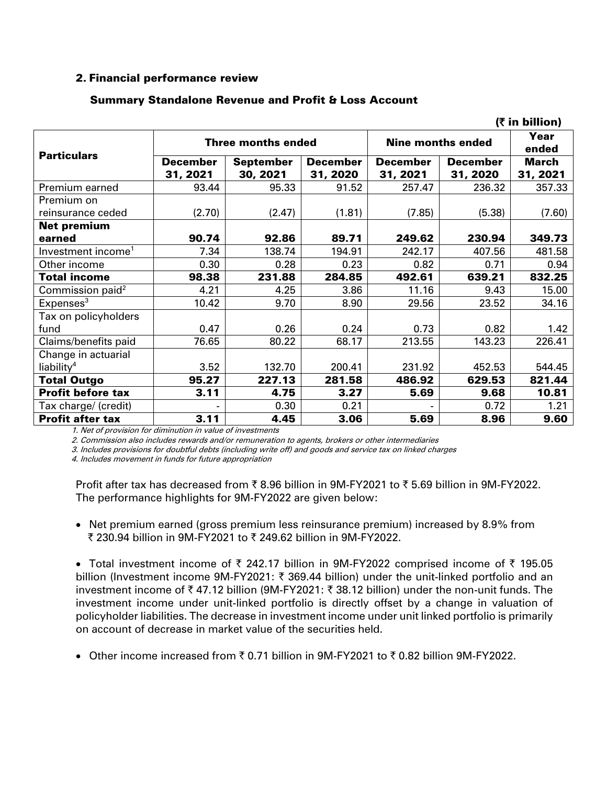# 2. Financial performance review

|                                |                 |                           |          |                          |                 | (₹ in billion) |
|--------------------------------|-----------------|---------------------------|----------|--------------------------|-----------------|----------------|
| <b>Particulars</b>             |                 | <b>Three months ended</b> |          | <b>Nine months ended</b> |                 | Year<br>ended  |
|                                | <b>December</b> | <b>September</b>          | December | <b>December</b>          | <b>December</b> | <b>March</b>   |
|                                | 31, 2021        | 30, 2021                  | 31, 2020 | 31, 2021                 | 31, 2020        | 31, 2021       |
| Premium earned                 | 93.44           | 95.33                     | 91.52    | 257.47                   | 236.32          | 357.33         |
| Premium on                     |                 |                           |          |                          |                 |                |
| reinsurance ceded              | (2.70)          | (2.47)                    | (1.81)   | (7.85)                   | (5.38)          | (7.60)         |
| <b>Net premium</b>             |                 |                           |          |                          |                 |                |
| earned                         | 90.74           | 92.86                     | 89.71    | 249.62                   | 230.94          | 349.73         |
| Investment income <sup>1</sup> | 7.34            | 138.74                    | 194.91   | 242.17                   | 407.56          | 481.58         |
| Other income                   | 0.30            | 0.28                      | 0.23     | 0.82                     | 0.71            | 0.94           |
| <b>Total income</b>            | 98.38           | 231.88                    | 284.85   | 492.61                   | 639.21          | 832.25         |
| Commission paid <sup>2</sup>   | 4.21            | 4.25                      | 3.86     | 11.16                    | 9.43            | 15.00          |
| Expenses <sup>3</sup>          | 10.42           | 9.70                      | 8.90     | 29.56                    | 23.52           | 34.16          |
| Tax on policyholders           |                 |                           |          |                          |                 |                |
| fund                           | 0.47            | 0.26                      | 0.24     | 0.73                     | 0.82            | 1.42           |
| Claims/benefits paid           | 76.65           | 80.22                     | 68.17    | 213.55                   | 143.23          | 226.41         |
| Change in actuarial            |                 |                           |          |                          |                 |                |
| liability <sup>4</sup>         | 3.52            | 132.70                    | 200.41   | 231.92                   | 452.53          | 544.45         |
| <b>Total Outgo</b>             | 95.27           | 227.13                    | 281.58   | 486.92                   | 629.53          | 821.44         |
| <b>Profit before tax</b>       | 3.11            | 4.75                      | 3.27     | 5.69                     | 9.68            | 10.81          |
| Tax charge/ (credit)           |                 | 0.30                      | 0.21     |                          | 0.72            | 1.21           |
| <b>Profit after tax</b>        | 3.11            | 4.45                      | 3.06     | 5.69                     | 8.96            | 9.60           |

# Summary Standalone Revenue and Profit & Loss Account

1. Net of provision for diminution in value of investments

2. Commission also includes rewards and/or remuneration to agents, brokers or other intermediaries

3. Includes provisions for doubtful debts (including write off) and goods and service tax on linked charges

4. Includes movement in funds for future appropriation

Profit after tax has decreased from  $\bar{z}$  8.96 billion in 9M-FY2021 to  $\bar{z}$  5.69 billion in 9M-FY2022. The performance highlights for 9M-FY2022 are given below:

• Net premium earned (gross premium less reinsurance premium) increased by 8.9% from  $\bar{x}$  230.94 billion in 9M-FY2021 to  $\bar{x}$  249.62 billion in 9M-FY2022.

• Total investment income of  $\overline{\tau}$  242.17 billion in 9M-FY2022 comprised income of  $\overline{\tau}$  195.05 billion (Investment income 9M-FY2021:  $\bar{\tau}$  369.44 billion) under the unit-linked portfolio and an investment income of  $\bar{\tau}$  47.12 billion (9M-FY2021:  $\bar{\tau}$  38.12 billion) under the non-unit funds. The investment income under unit-linked portfolio is directly offset by a change in valuation of policyholder liabilities. The decrease in investment income under unit linked portfolio is primarily on account of decrease in market value of the securities held.

• Other income increased from  $\overline{z}$  0.71 billion in 9M-FY2021 to  $\overline{z}$  0.82 billion 9M-FY2022.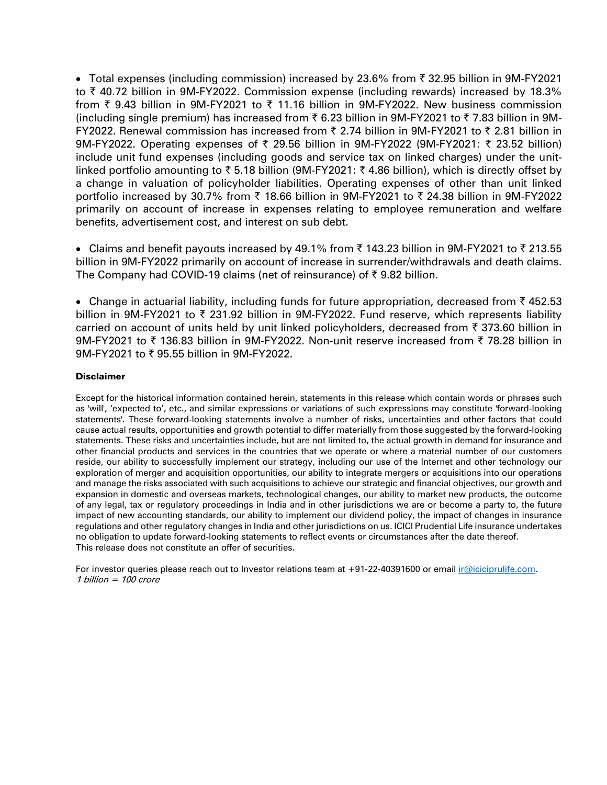• Total expenses (including commission) increased by 23.6% from  $\bar{\tau}$  32.95 billion in 9M-FY2021 to  $\bar{\tau}$  40.72 billion in 9M-FY2022. Commission expense (including rewards) increased by 18.3% from  $\bar{\tau}$  9.43 billion in 9M-FY2021 to  $\bar{\tau}$  11.16 billion in 9M-FY2022. New business commission (including single premium) has increased from  $\bar{\tau}$  6.23 billion in 9M-FY2021 to  $\bar{\tau}$  7.83 billion in 9M-FY2022. Renewal commission has increased from  $\bar{\tau}$  2.74 billion in 9M-FY2021 to  $\bar{\tau}$  2.81 billion in 9M-FY2022. Operating expenses of  $\bar{\tau}$  29.56 billion in 9M-FY2022 (9M-FY2021:  $\bar{\tau}$  23.52 billion) include unit fund expenses (including goods and service tax on linked charges) under the unitlinked portfolio amounting to  $\overline{\xi}$  5.18 billion (9M-FY2021:  $\overline{\xi}$  4.86 billion), which is directly offset by a change in valuation of policyholder liabilities. Operating expenses of other than unit linked portfolio increased by 30.7% from  $\bar{\tau}$  18.66 billion in 9M-FY2021 to  $\bar{\tau}$  24.38 billion in 9M-FY2022 primarily on account of increase in expenses relating to employee remuneration and welfare benefits, advertisement cost, and interest on sub debt.

• Claims and benefit payouts increased by 49.1% from  $\bar{\tau}$  143.23 billion in 9M-FY2021 to  $\bar{\tau}$  213.55 billion in 9M-FY2022 primarily on account of increase in surrender/withdrawals and death claims. The Company had COVID-19 claims (net of reinsurance) of  $\bar{\tau}$  9.82 billion.

• Change in actuarial liability, including funds for future appropriation, decreased from  $\bar{\tau}$  452.53 billion in 9M-FY2021 to  $\bar{\tau}$  231.92 billion in 9M-FY2022. Fund reserve, which represents liability carried on account of units held by unit linked policyholders, decreased from  $\bar{\tau}$  373.60 billion in 9M-FY2021 to  $\bar{\tau}$  136.83 billion in 9M-FY2022. Non-unit reserve increased from  $\bar{\tau}$  78.28 billion in  $9M-FY2021$  to  $\bar{z}$  95.55 billion in 9M-FY2022.

### Disclaimer

Except for the historical information contained herein, statements in this release which contain words or phrases such as 'will', 'expected to', etc., and similar expressions or variations of such expressions may constitute 'forward-looking statements'. These forward-looking statements involve a number of risks, uncertainties and other factors that could cause actual results, opportunities and growth potential to differ materially from those suggested by the forward-looking statements. These risks and uncertainties include, but are not limited to, the actual growth in demand for insurance and other financial products and services in the countries that we operate or where a material number of our customers reside, our ability to successfully implement our strategy, including our use of the Internet and other technology our exploration of merger and acquisition opportunities, our ability to integrate mergers or acquisitions into our operations and manage the risks associated with such acquisitions to achieve our strategic and financial objectives, our growth and expansion in domestic and overseas markets, technological changes, our ability to market new products, the outcome of any legal, tax or regulatory proceedings in India and in other jurisdictions we are or become a party to, the future impact of new accounting standards, our ability to implement our dividend policy, the impact of changes in insurance regulations and other regulatory changes in India and other jurisdictions on us. ICICI Prudential Life insurance undertakes no obligation to update forward-looking statements to reflect events or circumstances after the date thereof. This release does not constitute an offer of securities.

For investor queries please reach out to Investor relations team at +91-22-40391600 or email [ir@iciciprulife.com.](mailto:ir@iciciprulife.com) 1 billion <sup>=</sup> 100 crore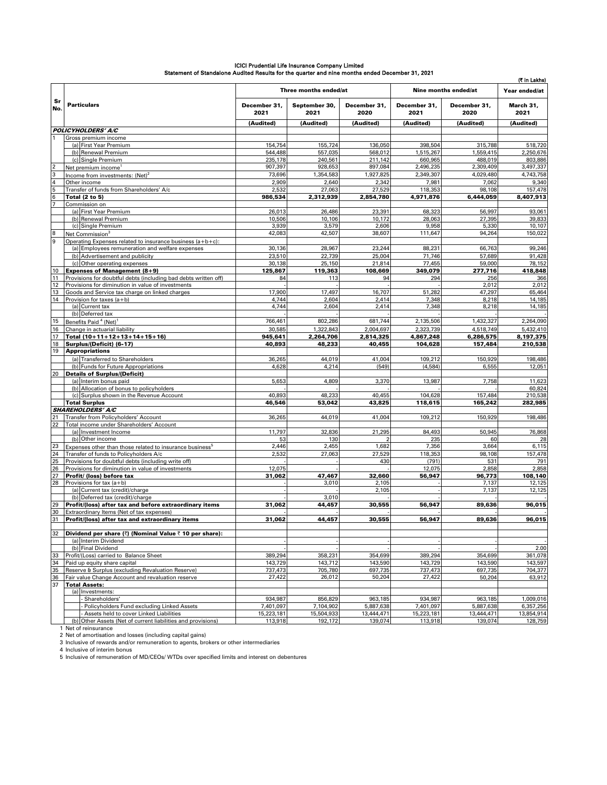|                                    |                                                                                                                |                      |                       |                      |                      |                      | (₹ in Lakhs)         |  |
|------------------------------------|----------------------------------------------------------------------------------------------------------------|----------------------|-----------------------|----------------------|----------------------|----------------------|----------------------|--|
|                                    |                                                                                                                |                      | Three months ended/at |                      |                      | Nine months ended/at | Year ended/at        |  |
| Sr<br>No.                          | <b>Particulars</b>                                                                                             | December 31,<br>2021 | September 30,<br>2021 | December 31,<br>2020 | December 31,<br>2021 | December 31,<br>2020 | March 31,<br>2021    |  |
|                                    |                                                                                                                | (Audited)            | (Audited)             | (Audited)            | (Audited)            | (Audited)            | (Audited)            |  |
|                                    | POLICYHOLDERS' A/C                                                                                             |                      |                       |                      |                      |                      |                      |  |
|                                    | Gross premium income<br>(a) First Year Premium                                                                 | 154,754              | 155,724               | 136,050              | 398.504              | 315,788              | 518,720              |  |
|                                    | (b) Renewal Premium                                                                                            | 544,488              | 557,035               | 568,012              | 1,515,267            | 1,559,415            | 2,250,676            |  |
|                                    | (c) Single Premium                                                                                             | 235,178              | 240,561               | 211,142              | 660,965              | 488,019              | 803,886              |  |
| $\overline{2}$                     | Net premium income <sup>1</sup>                                                                                | 907,397              | 928,653               | 897,084              | 2,496,235            | 2,309,409            | 3,497,337            |  |
| 3                                  | Income from investments: (Net) <sup>2</sup>                                                                    | 73,696               | 1,354,583             | 1,927,825            | 2,349,307            | 4,029,480            | 4,743,758            |  |
| $\overline{4}$                     | Other income                                                                                                   | 2,909                | 2,640                 | 2,342                | 7,981                | 7,062                | 9,340                |  |
| $5\phantom{.0}$<br>$6\phantom{1}6$ | Transfer of funds from Shareholders' A/c<br><b>Total (2 to 5)</b>                                              | 2,532<br>986,534     | 27,063<br>2,312,939   | 27,529<br>2.854.780  | 118,353<br>4,971,876 | 98,108<br>6,444,059  | 157,478<br>8,407.913 |  |
|                                    | Commission on                                                                                                  |                      |                       |                      |                      |                      |                      |  |
|                                    | (a) First Year Premium                                                                                         | 26,013               | 26,486                | 23,391               | 68,323               | 56,997               | 93,061               |  |
|                                    | (b) Renewal Premium                                                                                            | 10,506               | 10,106                | 10,172               | 28,063               | 27,395               | 39,833               |  |
|                                    | (c) Single Premium                                                                                             | 3,939                | 3,579                 | 2,606                | 9,958                | 5,330                | 10,107               |  |
| $\bf 8$                            | Net Commission <sup>3</sup>                                                                                    | 42,083               | 42,507                | 38,607               | 111,647              | 94,264               | 150,022              |  |
| 9                                  | Operating Expenses related to insurance business (a+b+c):<br>(a) Employees remuneration and welfare expenses   | 30,136               | 28,967                | 23,244               | 88,231               | 66,763               | 99,246               |  |
|                                    | (b) Advertisement and publicity                                                                                | 23,510               | 22,739                | 25,004               | 71,746               | 57,689               | 91,428               |  |
|                                    | (c) Other operating expenses                                                                                   | 30,138               | 25,150                | 21,814               | 77,455               | 59,000               | 78,152               |  |
| 10                                 | <b>Expenses of Management (8+9)</b>                                                                            | 125,867              | 119,363               | 108,669              | 349,079              | 277,716              | 418,848              |  |
| 11                                 | Provisions for doubtful debts (including bad debts written off)                                                | 84                   | 113                   | 94                   | 294                  | 256                  | 366                  |  |
| 12                                 | Provisions for diminution in value of investments<br>Goods and Service tax charge on linked charges            | 17,900               | 17,497                | 16,707               |                      | 2,012<br>47,297      | 2,012                |  |
| 13<br>14                           | Provision for taxes (a+b)                                                                                      | 4,744                | 2,604                 | 2,414                | 51,282<br>7,348      | 8,218                | 65,464<br>14,185     |  |
|                                    | (a) Current tax                                                                                                | 4,744                | 2,604                 | 2,414                | 7,348                | 8,218                | 14,185               |  |
|                                    | (b) Deferred tax                                                                                               |                      |                       |                      |                      |                      |                      |  |
| 15                                 | Benefits Paid <sup>4</sup> (Net)                                                                               | 766,461              | 802,286               | 681,744              | 2,135,506            | 1,432,327            | 2,264,090            |  |
| 16                                 | Change in actuarial liability                                                                                  | 30,585               | 1,322,843             | 2.004.697            | 2,323,739            | 4,518,749            | 5,432,410            |  |
| 17                                 | Total (10+11+12+13+14+15+16)                                                                                   | 945,641              | 2,264,706             | 2,814,325            | 4,867,248            | 6,286,575            | 8,197,375            |  |
| 18<br>19                           | Surplus/(Deficit) (6-17)<br><b>Appropriations</b>                                                              | 40,893               | 48,233                | 40,455               | 104,628              | 157,484              | 210,538              |  |
|                                    | (a) Transferred to Shareholders                                                                                | 36,265               | 44,019                | 41,004               | 109,212              | 150,929              | 198,486              |  |
|                                    | (b) Funds for Future Appropriations                                                                            | 4,628                | 4,214                 | (549)                | (4, 584)             | 6,555                | 12,051               |  |
| 20                                 | <b>Details of Surplus/(Deficit)</b>                                                                            |                      |                       |                      |                      |                      |                      |  |
|                                    | (a) Interim bonus paid                                                                                         | 5,653                | 4,809                 | 3,370                | 13,987               | 7,758                | 11,623               |  |
|                                    | (b) Allocation of bonus to policyholders<br>(c) Surplus shown in the Revenue Account                           | 40,893               | 48,233                | 40,455               | 104,628              | 157,484              | 60,824<br>210,538    |  |
|                                    | <b>Total Surplus</b>                                                                                           | 46,546               | 53,042                | 43,825               | 118,615              | 165,242              | 282,985              |  |
|                                    | <b>SHAREHOLDERS' A/C</b>                                                                                       |                      |                       |                      |                      |                      |                      |  |
| 21                                 | Transfer from Policyholders' Account                                                                           | 36,265               | 44,019                | 41,004               | 109,212              | 150,929              | 198,486              |  |
| 22                                 | Total income under Shareholders' Account                                                                       |                      |                       |                      |                      |                      |                      |  |
|                                    | (a) Investment Income                                                                                          | 11,797               | 32,836<br>130         | 21,295               | 84,493               | 50,945               | 76,868               |  |
| 23                                 | (b) Other income                                                                                               | 53<br>2,446          | 2,455                 | 1,682                | 235<br>7,356         | 60<br>3,664          | 28<br>6,115          |  |
| 24                                 | Expenses other than those related to insurance business <sup>b</sup><br>Transfer of funds to Policyholders A/c | 2,532                | 27,063                | 27,529               | 118,353              | 98,108               | 157,478              |  |
| 25                                 | Provisions for doubtful debts (including write off)                                                            |                      |                       | 430                  | (791)                | 531                  | 791                  |  |
| 26                                 | Provisions for diminution in value of investments                                                              | 12,075               |                       |                      | 12,075               | 2,858                | 2,858                |  |
| 27                                 | Profit/ (loss) before tax                                                                                      | 31,062               | 47,467                | 32,660               | 56.947               | 96,773               | 108,140              |  |
| 28                                 | Provisions for tax (a+b)<br>(a) Current tax (credit)/charge                                                    |                      | 3,010                 | 2,105<br>2,105       |                      | 7,137<br>7,137       | 12,125<br>12,125     |  |
|                                    | (b) Deferred tax (credit)/charge                                                                               |                      | 3,010                 |                      |                      |                      |                      |  |
| 29                                 | Profit/(loss) after tax and before extraordinary items                                                         | 31,062               | 44,457                | 30,555               | 56,947               | 89,636               | 96,015               |  |
| 30                                 | Extraordinary Items (Net of tax expenses)                                                                      |                      |                       |                      |                      |                      |                      |  |
| 31                                 | Profit/(loss) after tax and extraordinary items                                                                | 31,062               | 44,457                | 30,555               | 56,947               | 89,636               | 96,015               |  |
|                                    |                                                                                                                |                      |                       |                      |                      |                      |                      |  |
| 32                                 | Dividend per share (₹) (Nominal Value ₹ 10 per share):<br>(a) Interim Dividend                                 |                      |                       |                      |                      |                      |                      |  |
|                                    | (b) Final Dividend                                                                                             |                      |                       |                      |                      |                      | 2.00                 |  |
| 33                                 | Profit/(Loss) carried to Balance Sheet                                                                         | 389,294              | 358,231               | 354,699              | 389,294              | 354,699              | 361,078              |  |
| 34                                 | Paid up equity share capital                                                                                   | 143,729              | 143,712               | 143.590              | 143,729              | 143,590              | 143,597              |  |
| 35                                 | Reserve & Surplus (excluding Revaluation Reserve)                                                              | 737,473              | 705,780               | 697,735              | 737,473              | 697,735              | 704,377              |  |
| 36<br>37                           | Fair value Change Account and revaluation reserve                                                              | 27,422               | 26,012                | 50,204               | 27,422               | 50,204               | 63,912               |  |
|                                    | <b>Total Assets:</b><br>(a) Investments:                                                                       |                      |                       |                      |                      |                      |                      |  |
|                                    | Shareholders'                                                                                                  | 934.987              | 856,829               | 963,185              | 934,987              | 963.185              | 1,009,016            |  |
|                                    | Policyholders Fund excluding Linked Assets                                                                     | 7,401,097            | 7,104,902             | 5,887,638            | 7,401,097            | 5,887,638            | 6,357,256            |  |
|                                    | Assets held to cover Linked Liabilities                                                                        | 15,223,181           | 15,504,933            | 13,444,471           | 15,223,181           | 13,444,471           | 13,854,914           |  |
|                                    | (b) Other Assets (Net of current liabilities and provisions)                                                   | 113,918              | 192,172               | 139,074              | 113,918              | 139,074              | 128,759              |  |
|                                    | 1 Net of reinsurance<br>2 Net of amortisation and losses (including capital gains)                             |                      |                       |                      |                      |                      |                      |  |
|                                    | 3 Inclusive of rewards and/or remuneration to agents, brokers or other intermediaries                          |                      |                       |                      |                      |                      |                      |  |
|                                    | 4 Inclusive of interim bonus                                                                                   |                      |                       |                      |                      |                      |                      |  |
|                                    | 5 Inclusive of remuneration of MD/CEOs/ WTDs over specified limits and interest on debentures                  |                      |                       |                      |                      |                      |                      |  |

# ICICI Prudential Life Insurance Company Limited<br>Statement of Standalone Audited Results for the quarter and nine months ended December 31, 2021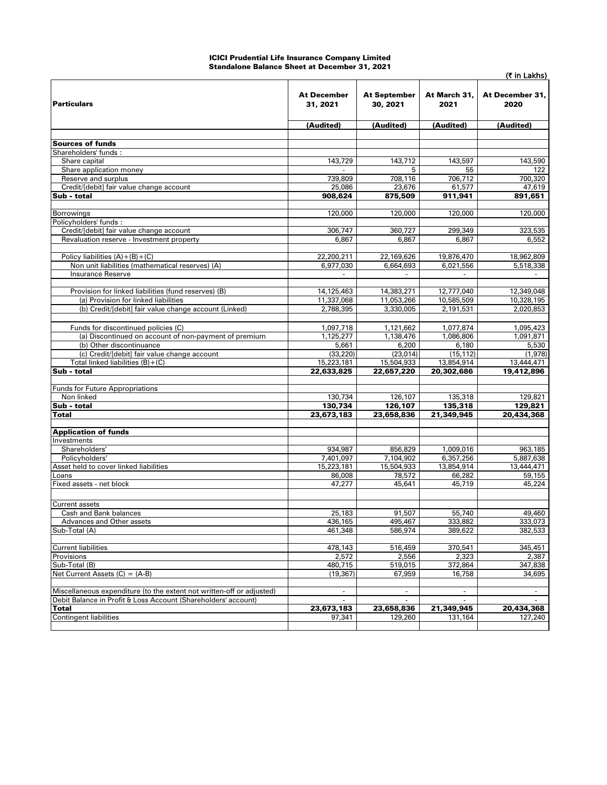#### ICICI Prudential Life Insurance Company Limited Standalone Balance Sheet at December 31, 2021

|                                                                                                                                         |                                |                                 |                          | (₹ in Lakhs)             |  |
|-----------------------------------------------------------------------------------------------------------------------------------------|--------------------------------|---------------------------------|--------------------------|--------------------------|--|
| <b>Particulars</b>                                                                                                                      | <b>At December</b><br>31, 2021 | <b>At September</b><br>30, 2021 | At March 31,<br>2021     | At December 31,<br>2020  |  |
|                                                                                                                                         | (Audited)                      | (Audited)                       | (Audited)                | (Audited)                |  |
|                                                                                                                                         |                                |                                 |                          |                          |  |
| <b>Sources of funds</b>                                                                                                                 |                                |                                 |                          |                          |  |
| Shareholders' funds:<br>Share capital                                                                                                   | 143,729                        | 143,712                         | 143,597                  | 143,590                  |  |
| Share application money                                                                                                                 |                                | 5                               | 55                       | 122                      |  |
| Reserve and surplus                                                                                                                     | 739,809                        | 708,116                         | 706,712                  | 700,320                  |  |
| Credit/[debit] fair value change account                                                                                                | 25,086                         | 23,676                          | 61,577                   | 47,619                   |  |
| Sub - total                                                                                                                             | 908,624                        | 875,509                         | 911,941                  | 891,651                  |  |
|                                                                                                                                         |                                |                                 |                          |                          |  |
| Borrowings                                                                                                                              | 120,000                        | 120,000                         | 120,000                  | 120,000                  |  |
| Policyholders' funds :<br>Credit/[debit] fair value change account                                                                      | 306,747                        | 360,727                         | 299,349                  | 323,535                  |  |
| Revaluation reserve - Investment property                                                                                               | 6,867                          | 6,867                           | 6,867                    | 6,552                    |  |
|                                                                                                                                         |                                |                                 |                          |                          |  |
| Policy liabilities $(A)+(B)+(C)$                                                                                                        | 22,200,211                     | 22,169,626                      | 19,876,470               | 18,962,809               |  |
| Non unit liabilities (mathematical reserves) (A)                                                                                        | 6,977,030                      | 6,664,693                       | 6,021,556                | 5,518,338                |  |
| <b>Insurance Reserve</b>                                                                                                                |                                |                                 |                          |                          |  |
|                                                                                                                                         |                                |                                 |                          |                          |  |
| Provision for linked liabilities (fund reserves) (B)<br>(a) Provision for linked liabilities                                            | 14,125,463<br>11,337,068       | 14,383,271<br>11,053,266        | 12,777,040<br>10,585,509 | 12,349,048<br>10,328,195 |  |
| (b) Credit/[debit] fair value change account (Linked)                                                                                   | 2,788,395                      | 3,330,005                       | 2.191.531                | 2,020,853                |  |
|                                                                                                                                         |                                |                                 |                          |                          |  |
| Funds for discontinued policies (C)                                                                                                     | 1,097,718                      | 1,121,662                       | 1,077,874                | 1,095,423                |  |
| (a) Discontinued on account of non-payment of premium                                                                                   | 1,125,277                      | 1.138.476                       | 1,086,806                | 1,091,871                |  |
| (b) Other discontinuance                                                                                                                | 5,661                          | 6,200                           | 6,180                    | 5,530                    |  |
| (c) Credit/[debit] fair value change account                                                                                            | (33, 220)                      | (23, 014)                       | (15, 112)                | (1,978)                  |  |
| Total linked liabilities $(B)+(C)$                                                                                                      | 15,223,181                     | 15,504,933                      | 13,854,914               | 13,444,471               |  |
| Sub - total                                                                                                                             | 22,633,825                     | 22,657,220                      | 20,302,686               | 19,412,896               |  |
| <b>Funds for Future Appropriations</b>                                                                                                  |                                |                                 |                          |                          |  |
| Non linked                                                                                                                              | 130,734                        | 126,107                         | 135,318                  | 129,821                  |  |
| Sub - total                                                                                                                             | 130,734                        | 126,107                         | 135,318                  | 129,821                  |  |
| <b>Total</b>                                                                                                                            | 23,673,183                     | 23,658,836                      | 21,349,945               | 20,434,368               |  |
|                                                                                                                                         |                                |                                 |                          |                          |  |
| <b>Application of funds</b><br>Investments                                                                                              |                                |                                 |                          |                          |  |
| Shareholders'                                                                                                                           | 934,987                        | 856,829                         | 1,009,016                | 963,185                  |  |
| Policyholders'                                                                                                                          | 7,401,097                      | 7,104,902                       | 6,357,256                | 5,887,638                |  |
| Asset held to cover linked liabilities                                                                                                  | 15,223,181                     | 15,504,933                      | 13,854,914               | 13,444,471               |  |
| Loans                                                                                                                                   | 86,008                         | 78,572                          | 66,282                   | 59,155                   |  |
| Fixed assets - net block                                                                                                                | 47,277                         | 45,641                          | 45,719                   | 45,224                   |  |
|                                                                                                                                         |                                |                                 |                          |                          |  |
| <b>Current assets</b>                                                                                                                   |                                |                                 |                          |                          |  |
| Cash and Bank balances                                                                                                                  | 25,183                         | 91,507<br>495,467               | 55,740<br>333,882        | 49,460<br>333,073        |  |
| Advances and Other assets<br>Sub-Total (A)                                                                                              | 436,165<br>461,348             | 586,974                         | 389,622                  | 382,533                  |  |
|                                                                                                                                         |                                |                                 |                          |                          |  |
| <b>Current liabilities</b>                                                                                                              | 478,143                        | 516,459                         | 370,541                  | 345,451                  |  |
| Provisions                                                                                                                              | 2,572                          | 2,556                           | 2,323                    | 2,387                    |  |
| Sub-Total (B)                                                                                                                           | 480,715                        | 519,015                         | 372,864                  | 347,838                  |  |
| Net Current Assets $(C) = (A-B)$                                                                                                        | (19, 367)                      | 67,959                          | 16,758                   | 34,695                   |  |
|                                                                                                                                         |                                |                                 | $\overline{\phantom{a}}$ |                          |  |
| Miscellaneous expenditure (to the extent not written-off or adjusted)<br>Debit Balance in Profit & Loss Account (Shareholders' account) | $\overline{\phantom{a}}$       | $\overline{\phantom{a}}$        |                          | $\sim$                   |  |
| <b>Total</b>                                                                                                                            | 23,673,183                     | 23,658,836                      | 21,349,945               | 20,434,368               |  |
| <b>Contingent liabilities</b>                                                                                                           | 97,341                         | 129,260                         | 131,164                  | 127,240                  |  |
|                                                                                                                                         |                                |                                 |                          |                          |  |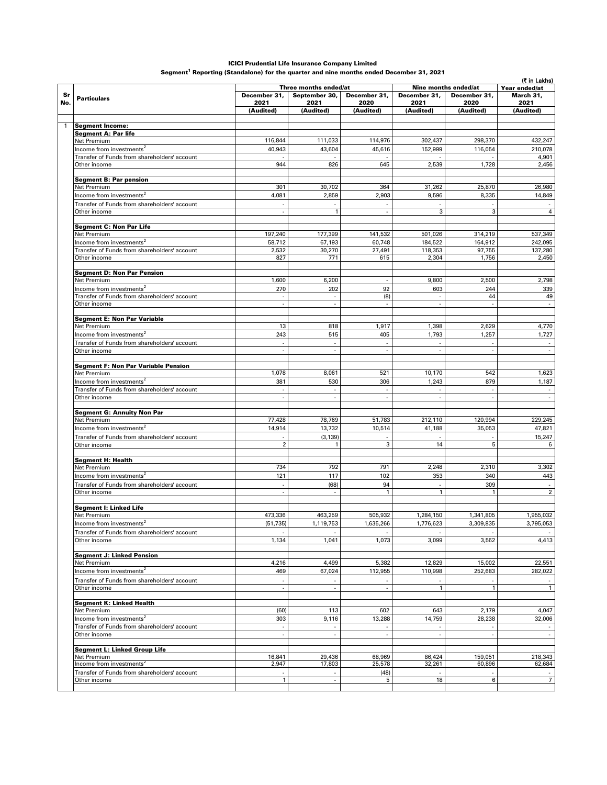#### ICICI Prudential Life Insurance Company Limited

Segment<sup>1</sup> Reporting (Standalone) for the quarter and nine months ended December 31, 2021

|              |                                                              |                                                      |                                                         |                                |                          |                          | (₹ in Lakhs)             |  |
|--------------|--------------------------------------------------------------|------------------------------------------------------|---------------------------------------------------------|--------------------------------|--------------------------|--------------------------|--------------------------|--|
|              |                                                              |                                                      | Three months ended/at                                   |                                |                          | Nine months ended/at     | Year ended/at            |  |
| Sr<br>No.    | <b>Particulars</b>                                           | December 31,                                         | September 30,                                           | December 31,                   | December 31,             | December 31,             | March 31,                |  |
|              |                                                              | 2021<br>(Audited)                                    | 2021<br>(Audited)                                       | 2020<br>(Audited)              | 2021<br>(Audited)        | 2020<br>(Audited)        | 2021<br>(Audited)        |  |
|              |                                                              |                                                      |                                                         |                                |                          |                          |                          |  |
| $\mathbf{1}$ | <b>Seament Income:</b>                                       |                                                      |                                                         |                                |                          |                          |                          |  |
|              | <b>Segment A: Par life</b>                                   |                                                      |                                                         |                                |                          |                          |                          |  |
|              | Net Premium                                                  | 116,844                                              | 111,033                                                 | 114,976                        | 302,437                  | 298,370                  | 432,247                  |  |
|              | Income from investments <sup>2</sup>                         | 40,943                                               | 43,604                                                  | 45,616                         | 152,999                  | 116,054                  | 210,078                  |  |
|              | Transfer of Funds from shareholders' account                 |                                                      |                                                         |                                |                          |                          | 4,901                    |  |
|              | Other income                                                 | 944                                                  | 826                                                     | 645                            | 2,539                    | 1,728                    | 2,456                    |  |
|              | <b>Segment B: Par pension</b>                                |                                                      |                                                         |                                |                          |                          |                          |  |
|              | Net Premium                                                  | 301                                                  | 30,702                                                  | 364                            | 31,262                   | 25,870                   | 26,980                   |  |
|              | Income from investments <sup>2</sup>                         | 4,081                                                | 2,859                                                   | 2,903                          | 9,596                    | 8,335                    | 14,849                   |  |
|              | Transfer of Funds from shareholders' account                 |                                                      |                                                         |                                |                          |                          |                          |  |
|              | Other income                                                 | $\overline{\phantom{a}}$                             | $\mathbf{1}$                                            | $\overline{\phantom{a}}$       | 3                        | 3                        | $\overline{4}$           |  |
|              | Segment C: Non Par Life                                      |                                                      |                                                         |                                |                          |                          |                          |  |
|              | Net Premium                                                  | 197,240                                              | 177,399                                                 | 141,532                        | 501,026                  | 314,219                  | 537,349                  |  |
|              | Income from investments <sup>2</sup>                         | 58,712                                               | 67,193                                                  | 60,748                         | 184,522                  | 164,912                  | 242,095                  |  |
|              | Transfer of Funds from shareholders' account                 | 2,532                                                | 30,270                                                  | 27,491                         | 118,353                  | 97,755                   | 137,280                  |  |
|              | Other income                                                 | 827                                                  | 771                                                     | 615                            | 2,304                    | 1,756                    | 2,450                    |  |
|              | <b>Segment D: Non Par Pension</b>                            |                                                      |                                                         |                                |                          |                          |                          |  |
|              | Net Premium                                                  | 1,600                                                | 6,200                                                   |                                | 9,800                    | 2,500                    | 2,798                    |  |
|              | Income from investments <sup>2</sup>                         | 270                                                  | 202                                                     | 92                             | 603                      | 244                      | 339                      |  |
|              | Transfer of Funds from shareholders' account                 | $\overline{\phantom{a}}$                             | $\sim$                                                  | (8)                            | $\sim$                   | 44                       | 49                       |  |
|              | Other income                                                 |                                                      | $\overline{\phantom{a}}$                                | $\overline{\phantom{a}}$       | ٠                        |                          |                          |  |
|              | <b>Segment E: Non Par Variable</b>                           |                                                      |                                                         |                                |                          |                          |                          |  |
|              | Net Premium                                                  | 13                                                   | 818                                                     | 1,917                          | 1,398                    | 2,629                    | 4,770                    |  |
|              | Income from investments <sup>2</sup>                         | 243                                                  | 515                                                     | 405                            | 1,793                    | 1,257                    | 1,727                    |  |
|              | Transfer of Funds from shareholders' account                 | $\overline{\phantom{a}}$                             | $\overline{\phantom{a}}$                                | $\overline{\phantom{a}}$       |                          | $\overline{\phantom{a}}$ |                          |  |
|              | Other income                                                 |                                                      | ÷,                                                      | ÷,                             |                          |                          |                          |  |
|              |                                                              |                                                      |                                                         |                                |                          |                          |                          |  |
|              | Segment F: Non Par Variable Pension<br>Net Premium           | 1,078                                                | 8,061                                                   | 521                            | 10,170                   | 542                      | 1,623                    |  |
|              | Income from investments <sup>2</sup>                         | 381                                                  | 530                                                     | 306                            | 1,243                    | 879                      | 1,187                    |  |
|              | Transfer of Funds from shareholders' account                 |                                                      |                                                         | $\sim$                         |                          |                          |                          |  |
|              | Other income                                                 | $\mathcal{L}_{\mathcal{A}}$                          | $\sim$                                                  | $\overline{\phantom{a}}$       | ÷,                       | ÷                        | $\overline{\phantom{a}}$ |  |
|              | <b>Segment G: Annuity Non Par</b>                            |                                                      |                                                         |                                |                          |                          |                          |  |
|              | Net Premium                                                  | 77,428                                               | 78,769                                                  | 51,783                         | 212,110                  | 120,994                  | 229,245                  |  |
|              | Income from investments <sup>2</sup>                         | 14,914                                               | 13,732                                                  | 10,514                         | 41,188                   | 35,053                   | 47,821                   |  |
|              | Transfer of Funds from shareholders' account                 |                                                      | (3, 139)                                                |                                |                          |                          | 15,247                   |  |
|              | Other income                                                 | $\overline{2}$                                       | $\mathbf{1}$                                            | 3                              | 14                       | 5                        | 6                        |  |
|              | <b>Segment H: Health</b>                                     |                                                      |                                                         |                                |                          |                          |                          |  |
|              | Net Premium                                                  | 734                                                  | 792                                                     | 791                            | 2,248                    | 2,310                    | 3,302                    |  |
|              | Income from investments <sup>2</sup>                         | 121                                                  | 117                                                     | 102                            | 353                      | 340                      | 443                      |  |
|              | Transfer of Funds from shareholders' account                 |                                                      | (68)                                                    | 94                             |                          | 309                      |                          |  |
|              | Other income                                                 |                                                      |                                                         | $\mathbf{1}$                   | $\mathbf{1}$             | $\mathbf{1}$             | $\overline{2}$           |  |
|              |                                                              |                                                      |                                                         |                                |                          |                          |                          |  |
|              | Segment I: Linked Life<br>Net Premium                        | 473,336                                              | 463,259                                                 | 505,932                        | 1,284,150                | 1,341,805                | 1,955,032                |  |
|              | Income from investments <sup>2</sup>                         | (51, 735)                                            | 1,119,753                                               | 1,635,266                      | 1,776,623                | 3,309,835                | 3,795,053                |  |
|              | Transfer of Funds from shareholders' account                 |                                                      |                                                         |                                |                          |                          |                          |  |
|              | Other income                                                 | 1,134                                                | 1,041                                                   | 1,073                          | 3,099                    | 3,562                    | 4,413                    |  |
|              |                                                              |                                                      |                                                         |                                |                          |                          |                          |  |
|              | <b>Segment J: Linked Pension</b>                             |                                                      |                                                         |                                |                          |                          |                          |  |
|              | Net Premium<br>Income from investments <sup>2</sup>          | 4,216<br>469                                         | 4,499                                                   | 5,382                          | 12,829                   | 15,002<br>252,683        | 22,551                   |  |
|              |                                                              |                                                      | 67,024                                                  | 112,955                        | 110,998                  |                          | 282,022                  |  |
|              | Transfer of Funds from shareholders' account<br>Other income | ä,                                                   | $\sim$                                                  | $\overline{\phantom{a}}$<br>÷, | $\mathbf{1}$             | $\mathbf{1}$             | $\mathbf{1}$             |  |
|              |                                                              |                                                      |                                                         |                                |                          |                          |                          |  |
|              | <b>Segment K: Linked Health</b>                              |                                                      |                                                         |                                |                          |                          |                          |  |
|              | Net Premium                                                  | (60)                                                 | 113                                                     | 602                            | 643                      | 2,179                    | 4,047                    |  |
|              | Income from investments <sup>2</sup>                         | 303                                                  | 9,116                                                   | 13,288                         | 14,759                   | 28,238                   | 32,006                   |  |
|              | Transfer of Funds from shareholders' account<br>Other income | $\overline{\phantom{a}}$<br>$\overline{\phantom{a}}$ | $\mathcal{L}_{\mathcal{A}}$<br>$\overline{\phantom{a}}$ | $\overline{\phantom{a}}$       | $\overline{\phantom{a}}$ | $\overline{\phantom{a}}$ | $\sim$                   |  |
|              |                                                              |                                                      |                                                         |                                |                          |                          |                          |  |
|              | Segment L: Linked Group Life                                 |                                                      |                                                         |                                |                          |                          |                          |  |
|              | Net Premium<br>Income from investments <sup>2</sup>          | 16,841<br>2,947                                      | 29,436<br>17,803                                        | 68,969<br>25,578               | 86,424<br>32,261         | 159,051<br>60,896        | 218,343<br>62,684        |  |
|              | Transfer of Funds from shareholders' account                 |                                                      |                                                         | (48)                           |                          |                          |                          |  |
|              | Other income                                                 | $\mathbf{1}$                                         | $\overline{\phantom{a}}$                                | 5                              | 18                       | 6                        | $\overline{7}$           |  |
|              |                                                              |                                                      |                                                         |                                |                          |                          |                          |  |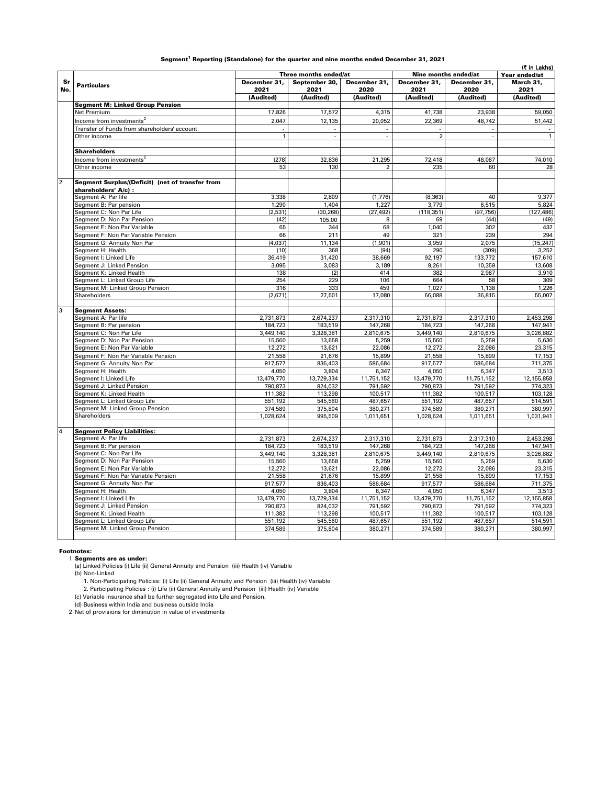|                |                                                                         |                          |                             | Three months ended/at<br>Nine months ended/at |                      |                      |                      |
|----------------|-------------------------------------------------------------------------|--------------------------|-----------------------------|-----------------------------------------------|----------------------|----------------------|----------------------|
|                |                                                                         |                          |                             |                                               |                      |                      | Year ended/at        |
| Sr<br>No.      | <b>Particulars</b>                                                      | December 31.<br>2021     | September 30,<br>2021       | December 31.<br>2020                          | December 31.<br>2021 | December 31.<br>2020 | March 31.<br>2021    |
|                |                                                                         | (Audited)                | (Audited)                   | (Audited)                                     | (Audited)            | (Audited)            | (Audited)            |
|                | <b>Segment M: Linked Group Pension</b>                                  |                          |                             |                                               |                      |                      |                      |
|                | Net Premium                                                             | 17,826                   | 17,572                      | 4,315                                         | 41,738               | 23,938               | 59,050               |
|                | Income from investments <sup>2</sup>                                    | 2,047                    | 12,135                      | 20,052                                        | 22,369               | 48,742               | 51,442               |
|                | Transfer of Funds from shareholders' account                            | $\overline{\phantom{a}}$ | $\overline{\phantom{a}}$    |                                               |                      |                      | $\blacksquare$       |
|                | Other income                                                            | $\overline{1}$           | $\mathcal{L}_{\mathcal{A}}$ |                                               | $\overline{2}$       |                      | $\overline{1}$       |
|                | <b>Shareholders</b>                                                     |                          |                             |                                               |                      |                      |                      |
|                | Income from investments <sup>2</sup>                                    | (278)                    | 32,836                      | 21,295                                        | 72,418               | 48.087               | 74,010               |
|                | Other income                                                            | 53                       | 130                         | $\overline{2}$                                | 235                  | 60                   | 28                   |
| $\overline{2}$ | Segment Surplus/(Deficit) (net of transfer from<br>shareholders' A/c) : |                          |                             |                                               |                      |                      |                      |
|                | Segment A: Par life                                                     | 3.338                    | 2.809                       | (1,776)                                       | (8, 363)             | 40                   | 9.377                |
|                | Segment B: Par pension                                                  | 1,290                    | 1,404                       | 1,227                                         | 3,779                | 6,515                | 5,824                |
|                | Segment C: Non Par Life                                                 | (2, 531)                 | (30, 268)                   | (27, 492)                                     | (118, 351)           | (97, 756)            | (127, 486)           |
|                | Seament D: Non Par Pension                                              | (42)                     | 105.00                      | 8                                             | 69                   | (44)                 | (49)                 |
|                | Segment E: Non Par Variable                                             | 65                       | 344                         | 68                                            | 1.040                | 302                  | 432                  |
|                | Segment F: Non Par Variable Pension                                     | 66                       | 211                         | 49                                            | 321                  | 239                  | 294                  |
|                | Segment G: Annuity Non Par                                              | (4,037)                  | 11,134                      | (1, 901)                                      | 3,959                | 2,075                | (15, 247)            |
|                | Segment H: Health                                                       | (10)                     | 368                         | (94)                                          | 290                  | (309)                | 3.252                |
|                | Segment I: Linked Life                                                  | 36,419                   | 31,420                      | 38,669                                        | 92,197               | 133,772              | 157,610              |
|                | Segment J: Linked Pension                                               | 3,095                    | 3,083                       | 3,189                                         | 9,261                | 10,359               | 13,608               |
|                | Segment K: Linked Health                                                | 138                      | (2)                         | 414                                           | 382                  | 2,987                | 3,910                |
|                | Segment L: Linked Group Life                                            | 254                      | 229                         | 106                                           | 664                  | 58                   | 309                  |
|                | Segment M: Linked Group Pension                                         | 316                      | 333                         | 459                                           | 1,027                | 1,138                | 1,226                |
|                | Shareholders                                                            | (2,671)                  | 27,501                      | 17,080                                        | 66,088               | 36,815               | 55,007               |
| 3              | <b>Segment Assets:</b>                                                  |                          |                             |                                               |                      |                      |                      |
|                | Segment A: Par life                                                     | 2,731,873                | 2,674,237                   | 2,317,310                                     | 2,731,873            | 2,317,310            | 2,453,298            |
|                | Segment B: Par pension                                                  | 184,723                  | 183,519                     | 147,268                                       | 184,723              | 147,268              | 147,941              |
|                | Segment C: Non Par Life                                                 | 3,449,140                | 3,328,381                   | 2,810,675                                     | 3,449,140            | 2,810,675            | 3,026,882            |
|                | Segment D: Non Par Pension                                              | 15,560                   | 13,658                      | 5,259                                         | 15,560               | 5,259                | 5,630                |
|                | Segment E: Non Par Variable                                             | 12,272                   | 13,621                      | 22,086                                        | 12,272               | 22,086               | 23,315               |
|                | Segment F: Non Par Variable Pension                                     | 21,558                   | 21,676                      | 15,899                                        | 21,558               | 15,899               | 17,153               |
|                | Segment G: Annuity Non Par                                              | 917,577                  | 836,403                     | 586,684                                       | 917,577              | 586,684              | 711,375              |
|                | Segment H: Health                                                       | 4,050                    | 3,804                       | 6,347                                         | 4,050                | 6,347                | 3,513                |
|                | Segment I: Linked Life                                                  | 13,479,770               | 13,729,334                  | 11,751,152                                    | 13,479,770           | 11,751,152           | 12,155,858           |
|                | Segment J: Linked Pension                                               | 790,873                  | 824,032                     | 791,592                                       | 790,873              | 791,592              | 774,323              |
|                | Segment K: Linked Health                                                | 111,382                  | 113,298                     | 100,517                                       | 111,382              | 100,517              | 103,128              |
|                | Segment L: Linked Group Life                                            | 551,192                  | 545,560                     | 487,657                                       | 551,192              | 487,657              | 514,591              |
|                | Segment M: Linked Group Pension<br>Shareholders                         | 374,589<br>1,028,624     | 375,804<br>995,509          | 380,271<br>1,011,651                          | 374,589<br>1,028,624 | 380,271<br>1,011,651 | 380,997<br>1,031,941 |
|                | <b>Segment Policy Liabilities:</b>                                      |                          |                             |                                               |                      |                      |                      |
|                | Segment A: Par life                                                     | 2,731,873                | 2,674,237                   | 2,317,310                                     | 2,731,873            | 2,317,310            | 2,453,298            |
|                | Segment B: Par pension                                                  | 184,723                  | 183,519                     | 147,268                                       | 184,723              | 147,268              | 147,941              |
|                | Segment C: Non Par Life                                                 | 3,449,140                | 3,328,381                   | 2,810,675                                     | 3,449,140            | 2,810,675            | 3,026,882            |
|                | Segment D: Non Par Pension                                              | 15,560                   | 13,658                      | 5,259                                         | 15,560               | 5,259                | 5,630                |
|                | Segment E: Non Par Variable                                             | 12,272                   | 13,621                      | 22,086                                        | 12,272               | 22,086               | 23,315               |
|                | Segment F: Non Par Variable Pension                                     | 21,558                   | 21,676                      | 15,899                                        | 21,558               | 15,899               | 17,153               |
|                | Segment G: Annuity Non Par                                              | 917,577                  | 836,403                     | 586,684                                       | 917,577              | 586,684              | 711,375              |
|                | Segment H: Health                                                       | 4,050                    | 3,804                       | 6,347                                         | 4,050                | 6,347                | 3,513                |
|                | Segment I: Linked Life                                                  | 13,479,770               | 13,729,334                  | 11,751,152                                    | 13,479,770           | 11,751,152           | 12,155,858           |
|                | Segment J: Linked Pension                                               | 790,873                  | 824,032                     | 791,592                                       | 790,873              | 791,592              | 774,323              |
|                | Segment K: Linked Health                                                | 111,382                  | 113,298                     | 100,517                                       | 111,382              | 100,517              | 103,128              |
|                | Segment L: Linked Group Life                                            | 551,192                  | 545.560                     | 487,657                                       | 551.192              | 487,657              | 514,591              |
|                | Segment M: Linked Group Pension                                         | 374,589                  | 375,804                     | 380,271                                       | 374,589              | 380,271              | 380,997              |
|                |                                                                         |                          |                             |                                               |                      |                      |                      |

#### Segment $^{\rm 1}$  Reporting (Standalone) for the quarter and nine months ended December 31, 2021

#### Footnotes:

1 **Segments are as under:**<br>(a) Linked Policies (i) Life (ii) General Annuity and Pension (iii) Health (iv) Variable

(b) Non-Linked

1. Non-Participating Policies: (i) Life (ii) General Annuity and Pension (iii) Health (iv) Variable 2. Participating Policies : (i) Life (ii) General Annuity and Pension (iii) Health (iv) Variable

(c) Variable insurance shall be further segregated into Life and Pension.

(d) Business within India and business outside India

2 Net of provisions for diminution in value of investments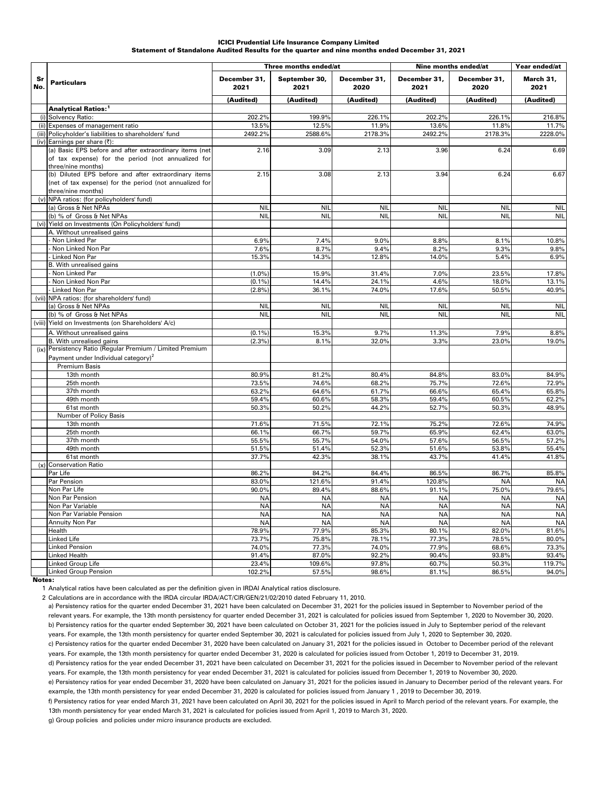#### Statement of Standalone Audited Results for the quarter and nine months ended December 31, 2021 ICICI Prudential Life Insurance Company Limited

|           |                                                                                                                                                                     | Three months ended/at  |                        |                        | Nine months ended/at   | Year ended/at          |                        |
|-----------|---------------------------------------------------------------------------------------------------------------------------------------------------------------------|------------------------|------------------------|------------------------|------------------------|------------------------|------------------------|
| Sr<br>No. | <b>Particulars</b>                                                                                                                                                  | December 31,<br>2021   | September 30,<br>2021  | December 31,<br>2020   | December 31,<br>2021   | December 31,<br>2020   | March 31,<br>2021      |
|           |                                                                                                                                                                     | (Audited)              | (Audited)              | (Audited)              | (Audited)              | (Audited)              | (Audited)              |
|           | Analytical Ratios: <sup>1</sup>                                                                                                                                     |                        |                        |                        |                        |                        |                        |
|           | (i) Solvency Ratio:                                                                                                                                                 | 202.2%                 | 199.9%                 | 226.1%                 | 202.2%                 | 226.1%                 | 216.8%                 |
|           | (ii) Expenses of management ratio                                                                                                                                   | 13.5%                  | 12.5%                  | 11.9%                  | 13.6%                  | 11.8%                  | 11.7%                  |
|           | (iii) Policyholder's liabilities to shareholders' fund                                                                                                              | 2492.2%                | 2588.6%                | 2178.3%                | 2492.2%                | 2178.3%                | 2228.0%                |
|           | (iv) Earnings per share (₹):<br>(a) Basic EPS before and after extraordinary items (net<br>of tax expense) for the period (not annualized for<br>three/nine months) | 2.16                   | 3.09                   | 2.13                   | 3.96                   | 6.24                   | 6.69                   |
|           | (b) Diluted EPS before and after extraordinary items<br>(net of tax expense) for the period (not annualized for<br>three/nine months)                               | 2.15                   | 3.08                   | 2.13                   | 3.94                   | 6.24                   | 6.67                   |
|           | (v) NPA ratios: (for policyholders' fund)                                                                                                                           |                        |                        |                        |                        |                        |                        |
|           | (a) Gross & Net NPAs                                                                                                                                                | <b>NIL</b>             | <b>NII</b>             | <b>NIL</b>             | <b>NIL</b>             | <b>NIL</b>             | <b>NIL</b>             |
|           | (b) % of Gross & Net NPAs                                                                                                                                           | <b>NIL</b>             | <b>NIL</b>             | <b>NIL</b>             | <b>NIL</b>             | <b>NIL</b>             | <b>NIL</b>             |
|           | (vi) Yield on Investments (On Policyholders' fund)<br>A. Without unrealised gains                                                                                   |                        |                        |                        |                        |                        |                        |
|           | Non Linked Par                                                                                                                                                      | 6.9%                   | 7.4%                   | 9.0%                   | 8.8%                   | 8.1%                   | 10.8%                  |
|           | Non Linked Non Par                                                                                                                                                  | 7.6%                   | 8.7%                   | 9.4%                   | 8.2%                   | 9.3%                   | 9.8%                   |
|           | - Linked Non Par                                                                                                                                                    | 15.3%                  | 14.3%                  | 12.8%                  | 14.0%                  | 5.4%                   | 6.9%                   |
|           | B. With unrealised gains                                                                                                                                            |                        |                        |                        |                        |                        |                        |
|           | Non Linked Par                                                                                                                                                      | (1.0%                  | 15.9%                  | 31.4%                  | 7.0%                   | 23.5%                  | 17.8%                  |
|           | Non Linked Non Par                                                                                                                                                  | (0.1%                  | 14.4%                  | 24.1%                  | 4.6%                   | 18.0%                  | 13.1%                  |
|           | - Linked Non Par                                                                                                                                                    | (2.8%                  | 36.1%                  | 74.0%                  | 17.6%                  | 50.5%                  | 40.9%                  |
|           | (vii) NPA ratios: (for shareholders' fund)                                                                                                                          |                        |                        |                        |                        |                        |                        |
|           | (a) Gross & Net NPAs                                                                                                                                                | <b>NIL</b>             | <b>NII</b>             | <b>NIL</b>             | <b>NIL</b>             | <b>NII</b>             | <b>NIL</b>             |
|           | (b) % of Gross & Net NPAs                                                                                                                                           | <b>NIL</b>             | <b>NIL</b>             | <b>NIL</b>             | <b>NIL</b>             | <b>NIL</b>             | <b>NIL</b>             |
|           | (viii) Yield on Investments (on Shareholders' A/c)                                                                                                                  |                        |                        |                        |                        |                        |                        |
|           | A. Without unrealised gains                                                                                                                                         | (0.1%                  | 15.3%                  | 9.7%                   | 11.3%                  | 7.9%                   | 8.8%                   |
|           | <b>B.</b> With unrealised gains<br>(ix) Persistency Ratio (Regular Premium / Limited Premium                                                                        | (2.3%)                 | 8.1%                   | 32.0%                  | 3.3%                   | 23.0%                  | 19.0%                  |
|           | Payment under Individual category) <sup>2</sup>                                                                                                                     |                        |                        |                        |                        |                        |                        |
|           | <b>Premium Basis</b>                                                                                                                                                |                        |                        |                        |                        |                        |                        |
|           | 13th month                                                                                                                                                          | 80.9%                  | 81.2%                  | 80.4%                  | 84.8%                  | 83.0%                  | 84.9%                  |
|           | 25th month                                                                                                                                                          | 73.5%                  | 74.6%                  | 68.2%                  | 75.7%                  | 72.6%                  | 72.9%                  |
|           | 37th month                                                                                                                                                          | 63.2%                  | 64.6%                  | 61.7%                  | 66.6%                  | 65.4%                  | 65.8%                  |
|           | 49th month<br>61st month                                                                                                                                            | 59.4%<br>50.3%         | 60.6%<br>50.2%         | 58.3%<br>44.2%         | 59.4%<br>52.7%         | 60.5%<br>50.3%         | 62.2%<br>48.9%         |
|           | Number of Policy Basis                                                                                                                                              |                        |                        |                        |                        |                        |                        |
|           | 13th month                                                                                                                                                          | 71.6%                  | 71.5%                  | 72.1%                  | 75.2%                  | 72.6%                  | 74.9%                  |
|           | 25th month                                                                                                                                                          | 66.1%                  | 66.7%                  | 59.7%                  | 65.9%                  | 62.4%                  | 63.0%                  |
|           | 37th month                                                                                                                                                          | 55.5%                  | 55.7%                  | 54.0%                  | 57.6%                  | 56.5%                  | 57.2%                  |
|           | 49th month                                                                                                                                                          | 51.5%                  | 51.4%                  | 52.3%                  | 51.6%                  | 53.8%                  | 55.4%                  |
|           | 61st month                                                                                                                                                          | 37.7%                  | 42.3%                  | 38.1%                  | 43.7%                  | 41.4%                  | 41.8%                  |
|           | (x) Conservation Ratio                                                                                                                                              |                        |                        |                        |                        |                        |                        |
|           | Par Life                                                                                                                                                            | 86.2%                  | 84.2%                  | 84.4%                  | 86.5%                  | 86.7%                  | 85.8%                  |
|           | Par Pension                                                                                                                                                         | 83.0%                  | 121.6%                 | 91.4%                  | 120.8%                 | <b>NA</b>              | <b>NA</b>              |
|           | Non Par Life                                                                                                                                                        | 90.0%                  | 89.4%                  | 88.6%                  | 91.1%                  | 75.0%                  | 79.6%                  |
|           | Non Par Pension<br>Non Par Variable                                                                                                                                 | <b>NA</b><br><b>NA</b> | <b>NA</b><br><b>NA</b> | <b>NA</b><br><b>NA</b> | <b>NA</b><br><b>NA</b> | <b>NA</b><br><b>NA</b> | <b>NA</b><br><b>NA</b> |
|           | Non Par Variable Pension                                                                                                                                            | <b>NA</b>              | <b>NA</b>              | <b>NA</b>              | <b>NA</b>              | <b>NA</b>              | <b>NA</b>              |
|           | Annuity Non Par                                                                                                                                                     | <b>NA</b>              | <b>NA</b>              | <b>NA</b>              | <b>NA</b>              | <b>NA</b>              | <b>NA</b>              |
|           | Health                                                                                                                                                              | 78.9%                  | 77.9%                  | 85.3%                  | 80.1%                  | 82.0%                  | 81.6%                  |
|           | Linked Life                                                                                                                                                         | 73.7%                  | 75.8%                  | 78.1%                  | 77.3%                  | 78.5%                  | 80.0%                  |
|           | Linked Pension                                                                                                                                                      | 74.0%                  | 77.3%                  | 74.0%                  | 77.9%                  | 68.6%                  | 73.3%                  |
|           | Linked Health                                                                                                                                                       | 91.4%                  | 87.0%                  | 92.2%                  | 90.4%                  | 93.8%                  | 93.4%                  |
|           | Linked Group Life                                                                                                                                                   | 23.4%                  | 109.6%                 | 97.8%                  | 60.7%                  | 50.3%                  | 119.7%                 |
|           | <b>Linked Group Pension</b>                                                                                                                                         | 102.2%                 | 57.5%                  | 98.6%                  | 81.1%                  | 86.5%                  | 94.0%                  |

Notes:

1 Analytical ratios have been calculated as per the definition given in IRDAI Analytical ratios disclosure.

2 Calculations are in accordance with the IRDA circular IRDA/ACT/CIR/GEN/21/02/2010 dated February 11, 2010.

a) Persistency ratios for the quarter ended December 31, 2021 have been calculated on December 31, 2021 for the policies issued in September to November period of the relevant years. For example, the 13th month persistency for quarter ended December 31, 2021 is calculated for policies issued from September 1, 2020 to November 30, 2020. b) Persistency ratios for the quarter ended September 30, 2021 have been calculated on October 31, 2021 for the policies issued in July to September period of the relevant years. For example, the 13th month persistency for quarter ended September 30, 2021 is calculated for policies issued from July 1, 2020 to September 30, 2020. c) Persistency ratios for the quarter ended December 31, 2020 have been calculated on January 31, 2021 for the policies issued in October to December period of the relevant years. For example, the 13th month persistency for quarter ended December 31, 2020 is calculated for policies issued from October 1, 2019 to December 31, 2019. d) Persistency ratios for the year ended December 31, 2021 have been calculated on December 31, 2021 for the policies issued in December to November period of the relevant years. For example, the 13th month persistency for year ended December 31, 2021 is calculated for policies issued from December 1, 2019 to November 30, 2020. e) Persistency ratios for year ended December 31, 2020 have been calculated on January 31, 2021 for the policies issued in January to December period of the relevant years. For example, the 13th month persistency for year ended December 31, 2020 is calculated for policies issued from January 1 , 2019 to December 30, 2019. f) Persistency ratios for year ended March 31, 2021 have been calculated on April 30, 2021 for the policies issued in April to March period of the relevant years. For example, the 13th month persistency for year ended March 31, 2021 is calculated for policies issued from April 1, 2019 to March 31, 2020.

g) Group policies and policies under micro insurance products are excluded.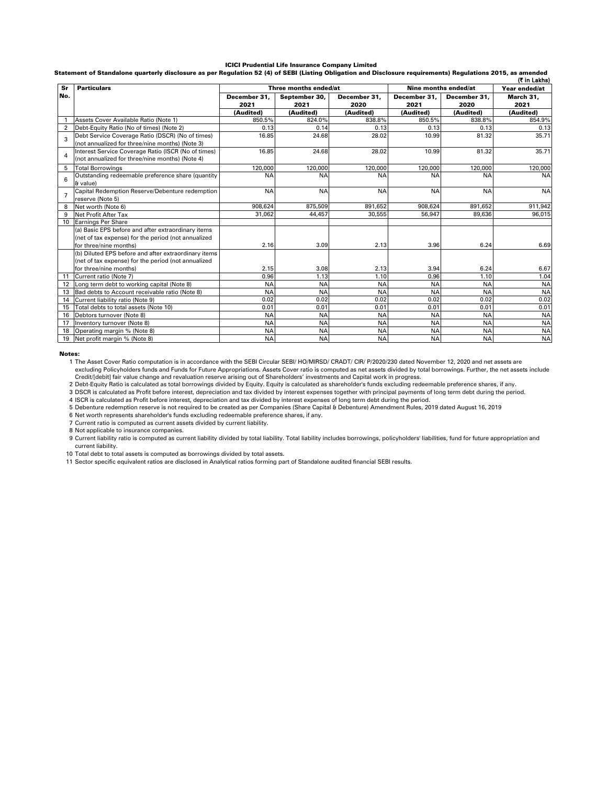#### ICICI Prudential Life Insurance Company Limited

Statement of Standalone quarterly disclosure as per Regulation 52 (4) of SEBI (Listing Obligation and Disclosure requirements) Regulations 2015, as amended

|                |                                                      |                      |                       |                      |                      |                      | (₹ in Lakhs)      |
|----------------|------------------------------------------------------|----------------------|-----------------------|----------------------|----------------------|----------------------|-------------------|
| Sr             | <b>Particulars</b>                                   |                      | Three months ended/at |                      |                      | Nine months ended/at | Year ended/at     |
| No.            |                                                      | December 31.<br>2021 | September 30,<br>2021 | December 31.<br>2020 | December 31.<br>2021 | December 31.<br>2020 | March 31.<br>2021 |
|                |                                                      | (Audited)            | (Audited)             | (Audited)            | (Audited)            | (Audited)            | (Audited)         |
|                | Assets Cover Available Ratio (Note 1)                | 850.5%               | 824.0%                | 838.8%               | 850.5%               | 838.8%               | 854.9%            |
| 2              | Debt-Equity Ratio (No of times) (Note 2)             | 0.13                 | 0.14                  | 0.13                 | 0.13                 | 0.13                 | 0.13              |
| 3              | Debt Service Coverage Ratio (DSCR) (No of times)     | 16.85                | 24.68                 | 28.02                | 10.99                | 81.32                | 35.71             |
|                | (not annualized for three/nine months) (Note 3)      |                      |                       |                      |                      |                      |                   |
|                | Interest Service Coverage Ratio (ISCR (No of times)  | 16.85                | 24.68                 | 28.02                | 10.99                | 81.32                | 35.71             |
| $\overline{a}$ | (not annualized for three/nine months) (Note 4)      |                      |                       |                      |                      |                      |                   |
| 5              | <b>Total Borrowings</b>                              | 120.000              | 120,000               | 120.000              | 120.000              | 120,000              | 120,000           |
| 6              | Outstanding redeemable preference share (quantity    | <b>NA</b>            | <b>NA</b>             | <b>NA</b>            | <b>NA</b>            | <b>NA</b>            | <b>NA</b>         |
|                | & value)                                             |                      |                       |                      |                      |                      |                   |
| $\overline{7}$ | Capital Redemption Reserve/Debenture redemption      | <b>NA</b>            | <b>NA</b>             | <b>NA</b>            | <b>NA</b>            | <b>NA</b>            | <b>NA</b>         |
|                | reserve (Note 5)                                     |                      |                       |                      |                      |                      |                   |
| 8              | Net worth (Note 6)                                   | 908.624              | 875,509               | 891.652              | 908.624              | 891.652              | 911,942           |
| 9              | Net Profit After Tax                                 | 31,062               | 44,457                | 30.555               | 56.947               | 89.636               | 96,015            |
| 10             | <b>Earnings Per Share</b>                            |                      |                       |                      |                      |                      |                   |
|                | (a) Basic EPS before and after extraordinary items   |                      |                       |                      |                      |                      |                   |
|                | (net of tax expense) for the period (not annualized  |                      |                       |                      |                      |                      |                   |
|                | for three/nine months)                               | 2.16                 | 3.09                  | 2.13                 | 3.96                 | 6.24                 | 6.69              |
|                | (b) Diluted EPS before and after extraordinary items |                      |                       |                      |                      |                      |                   |
|                | (net of tax expense) for the period (not annualized  |                      |                       |                      |                      |                      |                   |
|                | for three/nine months)                               | 2.15                 | 3.08                  | 2.13                 | 3.94                 | 6.24                 | 6.67              |
| 11             | Current ratio (Note 7)                               | 0.96                 | 1.13                  | 1.10                 | 0.96                 | 1.10                 | 1.04              |
| 12             | Long term debt to working capital (Note 8)           | <b>NA</b>            | <b>NA</b>             | <b>NA</b>            | <b>NA</b>            | <b>NA</b>            | <b>NA</b>         |
| 13             | Bad debts to Account receivable ratio (Note 8)       | <b>NA</b>            | <b>NA</b>             | <b>NA</b>            | <b>NA</b>            | <b>NA</b>            | <b>NA</b>         |
| 14             | Current liability ratio (Note 9)                     | 0.02                 | 0.02                  | 0.02                 | 0.02                 | 0.02                 | 0.02              |
| 15             | Total debts to total assets (Note 10)                | 0.01                 | 0.01                  | 0.01                 | 0.01                 | 0.01                 | 0.01              |
| 16             | Debtors turnover (Note 8)                            | <b>NA</b>            | <b>NA</b>             | <b>NA</b>            | <b>NA</b>            | <b>NA</b>            | <b>NA</b>         |
| 17             | Inventory turnover (Note 8)                          | <b>NA</b>            | <b>NA</b>             | <b>NA</b>            | <b>NA</b>            | <b>NA</b>            | <b>NA</b>         |
| 18             | Operating margin % (Note 8)                          | <b>NA</b>            | <b>NA</b>             | <b>NA</b>            | <b>NA</b>            | <b>NA</b>            | <b>NA</b>         |
| 19             | Net profit margin % (Note 8)                         | <b>NA</b>            | <b>NA</b>             | <b>NA</b>            | <b>NA</b>            | <b>NA</b>            | <b>NA</b>         |

Notes:

1 The Asset Cover Ratio computation is in accordance with the SEBI Circular SEBI/ HO/MIRSD/ CRADT/ CIR/ P/2020/230 dated November 12, 2020 and net assets are excluding Policyholders funds and Funds for Future Appropriations. Assets Cover ratio is computed as net assets divided by total borrowings. Further, the net assets include Credit/[debit] fair value change and revaluation reserve arising out of Shareholders' investments and Capital work in progress.

2 Debt-Equity Ratio is calculated as total borrowings divided by Equity. Equity is calculated as shareholder's funds excluding redeemable preference shares, if any.

3 DSCR is calculated as Profit before interest, depreciation and tax divided by interest expenses together with principal payments of long term debt during the period.

4 ISCR is calculated as Profit before interest, depreciation and tax divided by interest expenses of long term debt during the period.

5 Debenture redemption reserve is not required to be created as per Companies (Share Capital & Debenture) Amendment Rules, 2019 dated August 16, 2019

6 Net worth represents shareholder's funds excluding redeemable preference shares, if any.

7 Current ratio is computed as current assets divided by current liability.

8 Not applicable to insurance companies.

9 Current liability ratio is computed as current liability divided by total liability. Total liability includes borrowings, policyholders' liabilities, fund for future appropriation and current liability.

10 Total debt to total assets is computed as borrowings divided by total assets.

11 Sector specific equivalent ratios are disclosed in Analytical ratios forming part of Standalone audited financial SEBI results.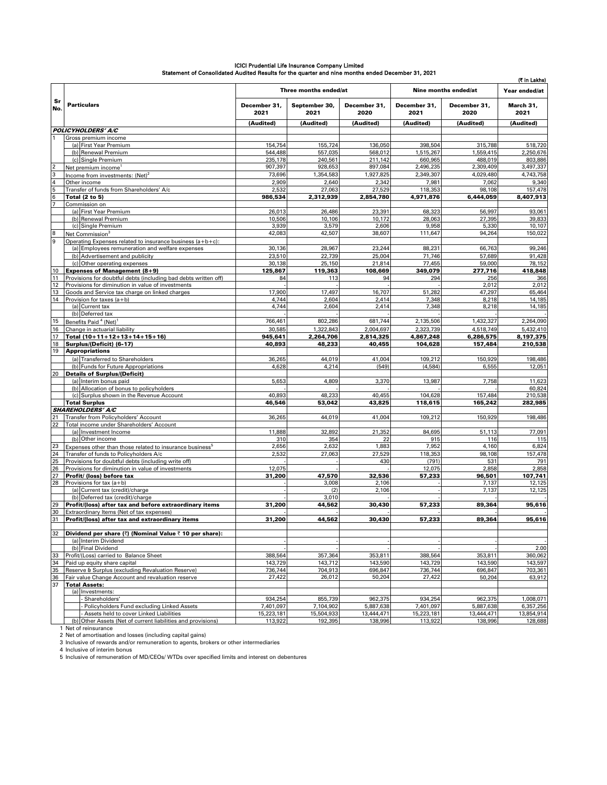|                |                                                                                               |                      |                       |                      |                      |                      | (₹ in Lakhs)         |
|----------------|-----------------------------------------------------------------------------------------------|----------------------|-----------------------|----------------------|----------------------|----------------------|----------------------|
|                |                                                                                               |                      | Three months ended/at |                      |                      | Nine months ended/at | Year ended/at        |
| Sr<br>No.      | <b>Particulars</b>                                                                            | December 31,<br>2021 | September 30,<br>2021 | December 31,<br>2020 | December 31,<br>2021 | December 31,<br>2020 | March 31.<br>2021    |
|                |                                                                                               | (Audited)            | (Audited)             | (Audited)            | (Audited)            | (Audited)            | (Audited)            |
|                | <b>POLICYHOLDERS' A/C</b>                                                                     |                      |                       |                      |                      |                      |                      |
|                | Gross premium income<br>(a) First Year Premium                                                | 154,754              | 155,724               | 136.050              | 398,504              | 315,788              | 518,720              |
|                | (b) Renewal Premium                                                                           | 544,488              | 557,035               | 568,012              | 1,515,267            | 1,559,415            | 2,250,676            |
|                | (c) Single Premium                                                                            | 235,178              | 240,561               | 211,142              | 660,965              | 488,019              | 803,886              |
| $\overline{2}$ | Net premium income <sup>1</sup>                                                               | 907,397              | 928,653               | 897,084              | 2,496,235            | 2,309,409            | 3,497,337            |
| 3              | Income from investments: (Net) <sup>2</sup>                                                   | 73,696               | 1,354,583             | 1,927,825            | 2,349,307            | 4,029,480            | 4,743,758            |
| $\overline{4}$ | Other income                                                                                  | 2,909                | 2,640                 | 2,342                | 7,981                | 7,062                | 9,340                |
| 5<br>6         | Transfer of funds from Shareholders' A/c                                                      | 2,532                | 27,063                | 27,529               | 118,353              | 98,108               | 157.478<br>8.407.913 |
|                | <b>Total (2 to 5)</b><br>Commission on                                                        | 986,534              | 2,312,939             | 2,854,780            | 4,971,876            | 6,444,059            |                      |
|                | (a) First Year Premium                                                                        | 26,013               | 26,486                | 23,391               | 68,323               | 56,997               | 93,061               |
|                | (b) Renewal Premium                                                                           | 10,506               | 10,106                | 10,172               | 28,063               | 27,395               | 39,833               |
|                | (c) Single Premium                                                                            | 3,939                | 3,579                 | 2,606                | 9,958                | 5,330                | 10,107               |
| 8              | Net Commission <sup>3</sup>                                                                   | 42,083               | 42,507                | 38,607               | 111,647              | 94,264               | 150,022              |
| 9              | Operating Expenses related to insurance business (a+b+c):                                     |                      |                       |                      |                      |                      |                      |
|                | (a) Employees remuneration and welfare expenses<br>(b) Advertisement and publicity            | 30,136<br>23,510     | 28,967<br>22,739      | 23,244<br>25,004     | 88,231<br>71,746     | 66,763<br>57,689     | 99,246<br>91,428     |
|                | (c) Other operating expenses                                                                  | 30,138               | 25,150                | 21,814               | 77,455               | 59,000               | 78,152               |
| 10             | <b>Expenses of Management (8+9)</b>                                                           | 125,867              | 119,363               | 108,669              | 349,079              | 277,716              | 418,848              |
| 11             | Provisions for doubtful debts (including bad debts written off)                               | 84                   | 113                   | 94                   | 294                  | 256                  | 366                  |
| 12             | Provisions for diminution in value of investments                                             |                      |                       |                      |                      | 2,012                | 2,012                |
| 13             | Goods and Service tax charge on linked charges                                                | 17,900               | 17,497                | 16,707               | 51,282               | 47,297               | 65,464               |
| 14             | Provision for taxes (a+b)                                                                     | 4,744                | 2,604                 | 2,414                | 7,348                | 8,218                | 14,185               |
|                | (a) Current tax<br>(b) Deferred tax                                                           | 4,744                | 2,604                 | 2,414                | 7,348                | 8,218                | 14,185               |
| 15             | Benefits Paid <sup>4</sup> (Net)                                                              | 766,461              | 802,286               | 681,744              | 2,135,506            | 1,432,327            | 2,264,090            |
| 16             | Change in actuarial liability                                                                 | 30,585               | 1,322,843             | 2,004,697            | 2,323,739            | 4,518,749            | 5.432.410            |
| 17             | Total (10+11+12+13+14+15+16)                                                                  | 945,641              | 2,264,706             | 2,814,325            | 4,867,248            | 6,286,575            | 8,197,375            |
| 18             | Surplus/(Deficit) (6-17)                                                                      | 40,893               | 48,233                | 40,455               | 104,628              | 157,484              | 210,538              |
| 19             | <b>Appropriations</b>                                                                         |                      |                       |                      |                      |                      |                      |
|                | (a) Transferred to Shareholders                                                               | 36,265               | 44,019                | 41,004               | 109,212              | 150.929              | 198,486              |
|                | (b) Funds for Future Appropriations                                                           | 4,628                | 4,214                 | (549)                | (4,584)              | 6,555                | 12,051               |
| 20             | <b>Details of Surplus/(Deficit)</b><br>(a) Interim bonus paid                                 | 5,653                | 4,809                 | 3,370                | 13,987               | 7,758                | 11,623               |
|                | (b) Allocation of bonus to policyholders                                                      |                      |                       |                      |                      |                      | 60,824               |
|                | (c) Surplus shown in the Revenue Account                                                      | 40,893               | 48,233                | 40,455               | 104,628              | 157,484              | 210,538              |
|                | <b>Total Surplus</b>                                                                          | 46,546               | 53,042                | 43,825               | 118,615              | 165,242              | 282,985              |
|                | <b>SHAREHOLDERS' A/C</b>                                                                      |                      |                       |                      |                      |                      |                      |
| 21             | Transfer from Policyholders' Account                                                          | 36,265               | 44,019                | 41,004               | 109,212              | 150,929              | 198,486              |
| 22             | Total income under Shareholders' Account<br>(a) Investment Income                             | 11,888               | 32,892                | 21,352               | 84,695               | 51,113               | 77,091               |
|                | (b) Other income                                                                              | 310                  | 354                   | 22                   | 915                  | 116                  | 115                  |
| 23             | Expenses other than those related to insurance business <sup>b</sup>                          | 2,656                | 2,632                 | 1,883                | 7,952                | 4,160                | 6,824                |
| 24             | Transfer of funds to Policyholders A/c                                                        | 2,532                | 27,063                | 27,529               | 118,353              | 98,108               | 157,478              |
| 25             | Provisions for doubtful debts (including write off)                                           |                      |                       | 430                  | (791)                | 531                  | 791                  |
| 26             | Provisions for diminution in value of investments                                             | 12,075               |                       |                      | 12,075               | 2,858                | 2,858                |
| 27<br>28       | Profit/ (loss) before tax<br>Provisions for tax $(a + b)$                                     | 31,200               | 47,570<br>3,008       | 32,536<br>2,106      | 57,233               | 96,501<br>7,137      | 107,741<br>12,125    |
|                | (a) Current tax (credit)/charge                                                               |                      | (2)                   | 2,106                |                      | 7,137                | 12,125               |
|                | (b) Deferred tax (credit)/charge                                                              |                      | 3,010                 |                      |                      |                      |                      |
| 29             | Profit/(loss) after tax and before extraordinary items                                        | 31,200               | 44.562                | 30,430               | 57,233               | 89,364               | 95,616               |
| 30             | Extraordinary Items (Net of tax expenses)                                                     |                      |                       |                      |                      |                      |                      |
| 31             | Profit/(loss) after tax and extraordinary items                                               | 31,200               | 44,562                | 30,430               | 57,233               | 89,364               | 95,616               |
| 32             | Dividend per share (₹) (Nominal Value ₹ 10 per share):                                        |                      |                       |                      |                      |                      |                      |
|                | (a) Interim Dividend                                                                          |                      |                       |                      |                      |                      |                      |
|                | (b) Final Dividend                                                                            |                      |                       |                      |                      |                      | 2.00                 |
| 33             | Profit/(Loss) carried to Balance Sheet                                                        | 388,564              | 357,364               | 353,811              | 388,564              | 353,811              | 360,062              |
| 34             | Paid up equity share capital                                                                  | 143,729              | 143,712               | 143,590              | 143,729              | 143,590              | 143,597              |
| 35             | Reserve & Surplus (excluding Revaluation Reserve)                                             | 736,744              | 704,913               | 696,847              | 736,744              | 696,847              | 703,361              |
| 36<br>37       | Fair value Change Account and revaluation reserve<br><b>Total Assets:</b>                     | 27,422               | 26,012                | 50,204               | 27,422               | 50,204               | 63,912               |
|                | (a) Investments:                                                                              |                      |                       |                      |                      |                      |                      |
|                | Shareholders'                                                                                 | 934,254              | 855,739               | 962,375              | 934,254              | 962,375              | 1,008,071            |
|                | Policyholders Fund excluding Linked Assets                                                    | 7,401,097            | 7,104,902             | 5,887,638            | 7,401,097            | 5,887,638            | 6,357,256            |
|                | Assets held to cover Linked Liabilities                                                       | 15,223,181           | 15,504,933            | 13,444,471           | 15,223,181           | 13,444,471           | 13,854,914           |
|                | (b) Other Assets (Net of current liabilities and provisions)                                  | 113,922              | 192,395               | 138,996              | 113,922              | 138,996              | 128,688              |
|                | 1 Net of reinsurance<br>2 Net of amortisation and losses (including capital gains)            |                      |                       |                      |                      |                      |                      |
|                | 3 Inclusive of rewards and/or remuneration to agents, brokers or other intermediaries         |                      |                       |                      |                      |                      |                      |
|                | 4 Inclusive of interim bonus                                                                  |                      |                       |                      |                      |                      |                      |
|                | 5 Inclusive of remuneration of MD/CEOs/ WTDs over specified limits and interest on debentures |                      |                       |                      |                      |                      |                      |

# ICICI Prudential Life Insurance Company Limited<br>Statement of Consolidated Audited Results for the quarter and nine months ended December 31, 2021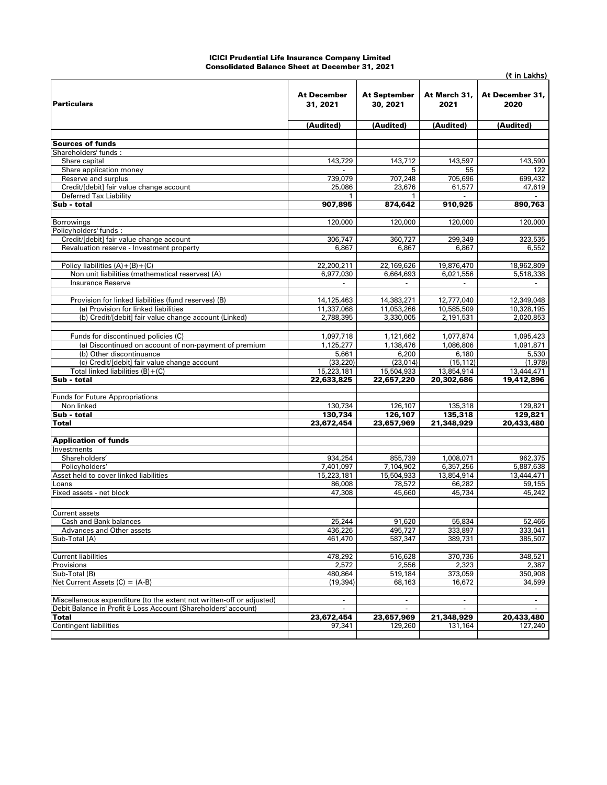#### ICICI Prudential Life Insurance Company Limited Consolidated Balance Sheet at December 31, 2021

| <b>Particulars</b>                                                                   | <b>At December</b><br>31, 2021 | <b>At September</b><br>30, 2021 | At March 31,<br>2021     | At December 31,<br>2020  |
|--------------------------------------------------------------------------------------|--------------------------------|---------------------------------|--------------------------|--------------------------|
|                                                                                      | (Audited)                      | (Audited)                       | (Audited)                | (Audited)                |
|                                                                                      |                                |                                 |                          |                          |
| Sources of funds                                                                     |                                |                                 |                          |                          |
| Shareholders' funds:<br>Share capital                                                | 143,729                        | 143,712                         | 143,597                  | 143,590                  |
| Share application money                                                              |                                | 5                               | 55                       | 122                      |
| Reserve and surplus                                                                  | 739,079                        | 707.248                         | 705,696                  | 699,432                  |
| Credit/[debit] fair value change account                                             | 25,086                         | 23,676                          | 61.577                   | 47,619                   |
| <b>Deferred Tax Liability</b>                                                        |                                |                                 |                          |                          |
| Sub - total                                                                          | 907,895                        | 874,642                         | 910,925                  | 890,763                  |
| <b>Borrowings</b>                                                                    | 120,000                        | 120,000                         | 120,000                  | 120,000                  |
| Policyholders' funds:                                                                |                                |                                 |                          |                          |
| Credit/[debit] fair value change account                                             | 306,747                        | 360,727                         | 299,349                  | 323,535                  |
| Revaluation reserve - Investment property                                            | 6,867                          | 6,867                           | 6,867                    | 6,552                    |
|                                                                                      |                                |                                 |                          |                          |
| Policy liabilities $(A)+(B)+(C)$<br>Non unit liabilities (mathematical reserves) (A) | 22,200,211                     | 22,169,626                      | 19,876,470               | 18,962,809               |
| Insurance Reserve                                                                    | 6,977,030                      | 6,664,693                       | 6,021,556                | 5,518,338                |
|                                                                                      |                                |                                 |                          |                          |
| Provision for linked liabilities (fund reserves) (B)                                 | 14,125,463                     | 14,383,271                      | 12,777,040               | 12,349,048               |
| (a) Provision for linked liabilities                                                 | 11,337,068                     | 11,053,266                      | 10,585,509               | 10,328,195               |
| (b) Credit/[debit] fair value change account (Linked)                                | 2,788,395                      | 3,330,005                       | 2,191,531                | 2,020,853                |
|                                                                                      |                                |                                 |                          |                          |
| Funds for discontinued policies (C)                                                  | 1,097,718                      | 1,121,662                       | 1,077,874                | 1,095,423                |
| (a) Discontinued on account of non-payment of premium<br>(b) Other discontinuance    | 1,125,277<br>5,661             | 1,138,476<br>6,200              | 1,086,806<br>6,180       | 1,091,871<br>5,530       |
| (c) Credit/[debit] fair value change account                                         | (33, 220)                      | (23, 014)                       | (15, 112)                | (1,978)                  |
| Total linked liabilities $(B) + (C)$                                                 | 15,223,181                     | 15,504,933                      | 13,854,914               | 13,444,471               |
| Sub - total                                                                          | 22,633,825                     | 22,657,220                      | 20,302,686               | 19,412,896               |
|                                                                                      |                                |                                 |                          |                          |
| <b>Funds for Future Appropriations</b>                                               |                                |                                 |                          |                          |
| Non linked<br>Sub - total                                                            | 130,734<br>130,734             | 126,107<br>126,107              | 135,318<br>135,318       | 129,821<br>129,821       |
| <b>Total</b>                                                                         | 23,672,454                     | 23,657,969                      | 21,348,929               | 20,433,480               |
|                                                                                      |                                |                                 |                          |                          |
| <b>Application of funds</b>                                                          |                                |                                 |                          |                          |
| Investments                                                                          |                                |                                 |                          |                          |
| Shareholders'                                                                        | 934,254                        | 855,739                         | 1,008,071                | 962,375                  |
| Policyholders'<br>Asset held to cover linked liabilities                             | 7,401,097<br>15,223,181        | 7,104,902<br>15,504,933         | 6,357,256<br>13,854,914  | 5,887,638<br>13,444,471  |
| Loans                                                                                | 86,008                         | 78,572                          | 66,282                   | 59,155                   |
| Fixed assets - net block                                                             | 47,308                         | 45,660                          | 45,734                   | 45,242                   |
|                                                                                      |                                |                                 |                          |                          |
| <b>Current assets</b>                                                                |                                |                                 |                          |                          |
| Cash and Bank balances                                                               | 25,244                         | 91,620                          | 55,834                   | 52,466                   |
| Advances and Other assets                                                            | 436,226                        | 495,727                         | 333,897                  | 333,041                  |
| Sub-Total (A)                                                                        | 461,470                        | 587,347                         | 389,731                  | 385,507                  |
| <b>Current liabilities</b>                                                           | 478,292                        | 516,628                         | 370,736                  | 348,521                  |
| Provisions                                                                           | 2,572                          | 2,556                           | 2,323                    | 2,387                    |
| Sub-Total (B)                                                                        | 480,864                        | 519,184                         | 373,059                  | 350,908                  |
| Net Current Assets $(C) = (A-B)$                                                     | (19, 394)                      | 68,163                          | 16,672                   | 34,599                   |
|                                                                                      |                                |                                 |                          |                          |
| Miscellaneous expenditure (to the extent not written-off or adjusted)                | $\overline{\phantom{a}}$       | $\overline{\phantom{a}}$        | $\overline{\phantom{a}}$ | $\overline{\phantom{a}}$ |
| Debit Balance in Profit & Loss Account (Shareholders' account)<br><b>Total</b>       | 23,672,454                     | 23,657,969                      | 21,348,929               | 20,433,480               |
| Contingent liabilities                                                               | 97,341                         | 129,260                         | 131,164                  | 127,240                  |
|                                                                                      |                                |                                 |                          |                          |

(₹ in Lakhs)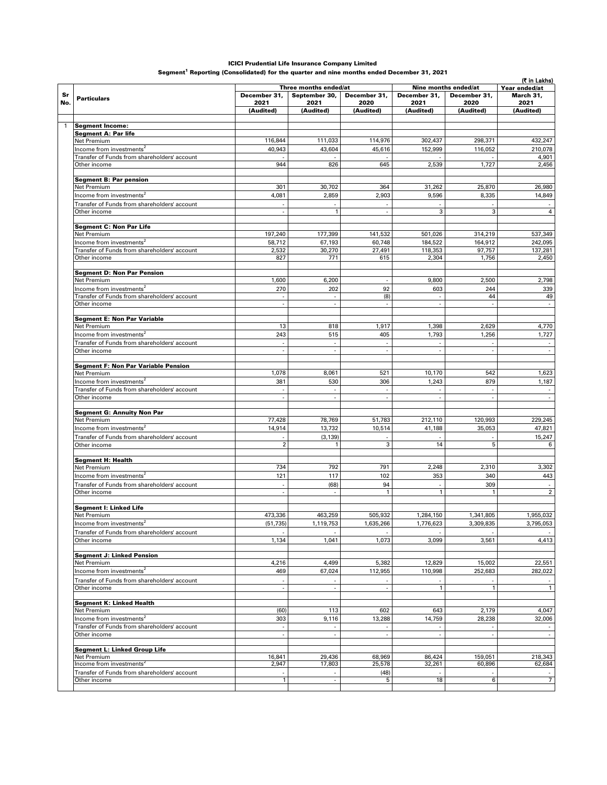#### ICICI Prudential Life Insurance Company Limited

Segment $^{\rm 1}$  Reporting (Consolidated) for the quarter and nine months ended December 31, 2021

|     |                                                              |                             |                             |                             |                          |                          | (₹ in Lakhs)     |  |
|-----|--------------------------------------------------------------|-----------------------------|-----------------------------|-----------------------------|--------------------------|--------------------------|------------------|--|
|     |                                                              |                             | Three months ended/at       |                             | Nine months ended/at     |                          | Year ended/at    |  |
| Sr  | <b>Particulars</b>                                           | December 31,                | September 30,               | December 31,                | December 31,             | December 31,             | March 31,        |  |
| No. |                                                              | 2021<br>(Audited)           | 2021                        | 2020                        | 2021                     | 2020                     | 2021             |  |
|     |                                                              |                             | (Audited)                   | (Audited)                   | (Audited)                | (Audited)                | (Audited)        |  |
|     | <b>Segment Income:</b>                                       |                             |                             |                             |                          |                          |                  |  |
|     | <b>Segment A: Par life</b>                                   |                             |                             |                             |                          |                          |                  |  |
|     | Net Premium                                                  | 116,844                     | 111,033                     | 114,976                     | 302,437                  | 298,371                  | 432,247          |  |
|     | Income from investments <sup>2</sup>                         | 40,943                      | 43,604                      | 45,616                      | 152,999                  | 116.052                  | 210,078          |  |
|     | Transfer of Funds from shareholders' account<br>Other income | 944                         | 826                         | 645                         | 2,539                    | 1,727                    | 4,901<br>2,456   |  |
|     |                                                              |                             |                             |                             |                          |                          |                  |  |
|     | <b>Segment B: Par pension</b>                                |                             |                             |                             |                          |                          |                  |  |
|     | Net Premium<br>Income from investments $^2$                  | 301<br>4,081                | 30,702<br>2,859             | 364<br>2,903                | 31,262<br>9,596          | 25,870<br>8,335          | 26,980<br>14,849 |  |
|     | Transfer of Funds from shareholders' account                 |                             |                             |                             |                          |                          |                  |  |
|     | Other income                                                 |                             | $\mathbf{1}$                | $\overline{a}$              | 3                        | 3                        | $\overline{4}$   |  |
|     |                                                              |                             |                             |                             |                          |                          |                  |  |
|     | <b>Segment C: Non Par Life</b><br>Net Premium                | 197,240                     | 177,399                     | 141,532                     | 501,026                  | 314,219                  | 537,349          |  |
|     | Income from investments <sup>2</sup>                         | 58,712                      | 67,193                      | 60,748                      | 184,522                  | 164,912                  | 242,095          |  |
|     | Transfer of Funds from shareholders' account                 | 2,532                       | 30,270                      | 27,491                      | 118,353                  | 97,757                   | 137,281          |  |
|     | Other income                                                 | 827                         | 771                         | 615                         | 2,304                    | 1,756                    | 2,450            |  |
|     |                                                              |                             |                             |                             |                          |                          |                  |  |
|     | <b>Segment D: Non Par Pension</b><br>Net Premium             | 1,600                       | 6,200                       |                             | 9,800                    | 2,500                    | 2,798            |  |
|     | Income from investments <sup>2</sup>                         | 270                         | 202                         | 92                          | 603                      | 244                      | 339              |  |
|     | Transfer of Funds from shareholders' account                 |                             | $\sim$                      | (8)                         | $\sim$                   | 44                       | 49               |  |
|     | Other income                                                 |                             | $\overline{\phantom{a}}$    |                             |                          |                          | $\sim$           |  |
|     | <b>Segment E: Non Par Variable</b>                           |                             |                             |                             |                          |                          |                  |  |
|     | Net Premium                                                  | 13                          | 818                         | 1,917                       | 1,398                    | 2,629                    | 4,770            |  |
|     | Income from investments <sup>2</sup>                         | 243                         | 515                         | 405                         | 1,793                    | 1,256                    | 1,727            |  |
|     | Transfer of Funds from shareholders' account                 | $\mathcal{L}_{\mathcal{A}}$ | $\mathcal{L}$               | $\mathcal{L}_{\mathcal{A}}$ | $\overline{\phantom{a}}$ | $\overline{\phantom{a}}$ | $\sim$           |  |
|     | Other income                                                 |                             |                             | ÷,                          |                          |                          |                  |  |
|     | <b>Segment F: Non Par Variable Pension</b>                   |                             |                             |                             |                          |                          |                  |  |
|     | Net Premium                                                  | 1,078                       | 8,061                       | 521                         | 10,170                   | 542                      | 1,623            |  |
|     | Income from investments <sup>2</sup>                         | 381                         | 530                         | 306                         | 1,243                    | 879                      | 1,187            |  |
|     | Transfer of Funds from shareholders' account                 |                             |                             | $\overline{a}$              |                          |                          |                  |  |
|     | Other income                                                 |                             | $\sim$                      | $\overline{\phantom{a}}$    | $\sim$                   | $\sim$                   | $\sim$           |  |
|     | <b>Segment G: Annuity Non Par</b>                            |                             |                             |                             |                          |                          |                  |  |
|     | Net Premium                                                  | 77,428                      | 78,769                      | 51,783                      | 212,110                  | 120,993                  | 229,245          |  |
|     | Income from investments <sup>2</sup>                         | 14,914                      | 13,732                      | 10,514                      | 41,188                   | 35,053                   | 47,821           |  |
|     | Transfer of Funds from shareholders' account                 |                             | (3, 139)                    |                             |                          |                          | 15,247           |  |
|     | Other income                                                 | $\overline{2}$              | 1                           | 3                           | 14                       | 5                        | 6                |  |
|     | Segment H: Health                                            |                             |                             |                             |                          |                          |                  |  |
|     | Net Premium                                                  | 734                         | 792                         | 791                         | 2,248                    | 2,310                    | 3,302            |  |
|     | Income from investments <sup>2</sup>                         | 121                         | 117                         | 102                         | 353                      | 340                      | 443              |  |
|     | Transfer of Funds from shareholders' account                 |                             | (68)                        | 94                          |                          | 309                      |                  |  |
|     | Other income                                                 |                             | $\overline{\phantom{a}}$    | $\mathbf{1}$                | $\mathbf{1}$             | 1                        | $\overline{2}$   |  |
|     |                                                              |                             |                             |                             |                          |                          |                  |  |
|     | Segment I: Linked Life<br>Net Premium                        | 473,336                     | 463,259                     | 505,932                     | 1,284,150                | 1,341,805                | 1,955,032        |  |
|     | Income from investments <sup>2</sup>                         | (51, 735)                   | 1,119,753                   | 1,635,266                   | 1,776,623                | 3,309,835                | 3,795,053        |  |
|     | Transfer of Funds from shareholders' account                 |                             |                             |                             |                          |                          |                  |  |
|     | Other income                                                 | 1,134                       | 1,041                       | 1,073                       | 3,099                    | 3,561                    | 4,413            |  |
|     |                                                              |                             |                             |                             |                          |                          |                  |  |
|     | <b>Segment J: Linked Pension</b><br>Net Premium              | 4,216                       | 4,499                       | 5,382                       | 12,829                   | 15,002                   | 22,551           |  |
|     | Income from investments <sup>2</sup>                         | 469                         | 67,024                      | 112,955                     | 110,998                  | 252,683                  | 282,022          |  |
|     | Transfer of Funds from shareholders' account                 |                             |                             |                             |                          |                          |                  |  |
|     | Other income                                                 | $\sim$                      | $\mathcal{L}_{\mathcal{A}}$ | $\overline{\phantom{a}}$    | $\mathbf{1}$             | $\mathbf{1}$             | $\mathbf{1}$     |  |
|     |                                                              |                             |                             |                             |                          |                          |                  |  |
|     | <b>Segment K: Linked Health</b><br>Net Premium               | (60)                        | 113                         | 602                         | 643                      | 2,179                    | 4,047            |  |
|     | Income from investments <sup>2</sup>                         | 303                         | 9,116                       | 13,288                      | 14,759                   | 28,238                   | 32,006           |  |
|     | Transfer of Funds from shareholders' account                 |                             |                             |                             |                          |                          |                  |  |
|     | Other income                                                 | $\overline{\phantom{a}}$    | $\overline{\phantom{a}}$    | $\overline{\phantom{a}}$    | $\overline{\phantom{a}}$ | $\overline{\phantom{a}}$ |                  |  |
|     |                                                              |                             |                             |                             |                          |                          |                  |  |
|     | Segment L: Linked Group Life<br>Net Premium                  | 16,841                      | 29,436                      | 68,969                      | 86,424                   | 159,051                  | 218,343          |  |
|     | Income from investments <sup>2</sup>                         | 2,947                       | 17,803                      | 25,578                      | 32,261                   | 60,896                   | 62,684           |  |
|     | Transfer of Funds from shareholders' account                 |                             |                             | (48)                        |                          |                          |                  |  |
|     | Other income                                                 | $\overline{1}$              | $\overline{\phantom{a}}$    | 5                           | 18                       | 6                        | $\overline{7}$   |  |
|     |                                                              |                             |                             |                             |                          |                          |                  |  |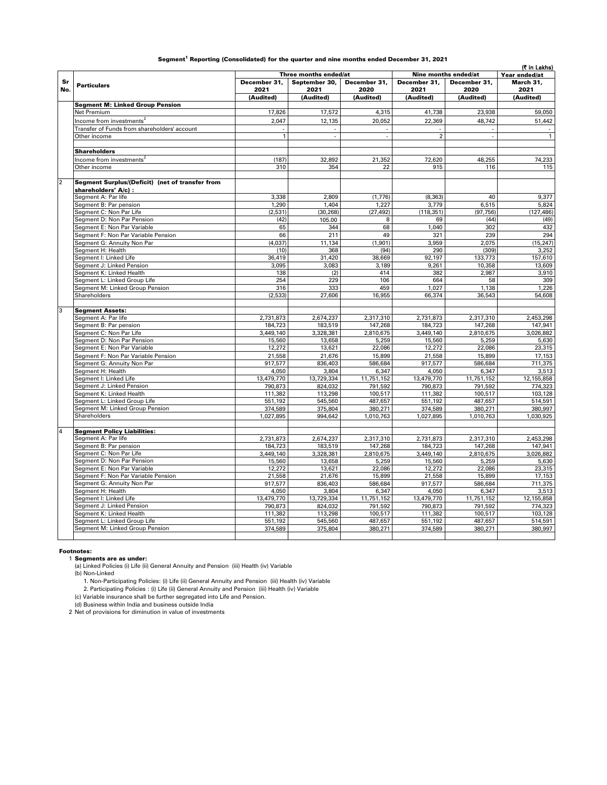|  |  | Segment <sup>1</sup> Reporting (Consolidated) for the quarter and nine months ended December 31, 2021 |  |  |  |  |  |  |  |  |
|--|--|-------------------------------------------------------------------------------------------------------|--|--|--|--|--|--|--|--|
|--|--|-------------------------------------------------------------------------------------------------------|--|--|--|--|--|--|--|--|

|                |                                                 |                                               |                          |                          |                |              | (₹ in Lakhs)   |
|----------------|-------------------------------------------------|-----------------------------------------------|--------------------------|--------------------------|----------------|--------------|----------------|
|                |                                                 | Three months ended/at<br>Nine months ended/at |                          |                          |                |              | Year ended/at  |
| Sr             |                                                 | December 31,                                  | September 30,            | December 31,             | December 31,   | December 31, | March 31,      |
| No.            | <b>Particulars</b>                              | 2021                                          | 2021                     | 2020                     | 2021           | 2020         | 2021           |
|                |                                                 | (Audited)                                     | (Audited)                | (Audited)                | (Audited)      | (Audited)    | (Audited)      |
|                | <b>Segment M: Linked Group Pension</b>          |                                               |                          |                          |                |              |                |
|                | Net Premium                                     | 17,826                                        | 17,572                   | 4,315                    | 41,738         | 23,938       | 59,050         |
|                | Income from investments <sup>2</sup>            | 2.047                                         |                          | 20.052                   |                |              |                |
|                |                                                 |                                               | 12,135                   |                          | 22,369         | 48.742       | 51,442         |
|                | Transfer of Funds from shareholders' account    |                                               |                          |                          |                |              |                |
|                | Other income                                    | $\overline{1}$                                | $\overline{\phantom{a}}$ | $\overline{\phantom{a}}$ | $\overline{2}$ | ÷,           | $\overline{1}$ |
|                |                                                 |                                               |                          |                          |                |              |                |
|                | <b>Shareholders</b>                             |                                               |                          |                          |                |              |                |
|                | Income from investments <sup>2</sup>            | (187)                                         | 32,892                   | 21,352                   | 72,620         | 48,255       | 74,233         |
|                | Other income                                    | 310                                           | 354                      | 22                       | 915            | 116          | 115            |
|                |                                                 |                                               |                          |                          |                |              |                |
| $\overline{2}$ | Segment Surplus/(Deficit) (net of transfer from |                                               |                          |                          |                |              |                |
|                | shareholders' A/c) :                            |                                               |                          |                          |                |              |                |
|                | Segment A: Par life                             | 3,338                                         | 2,809                    | (1,776)                  | (8, 363)       | 40           | 9,377          |
|                | Segment B: Par pension                          | 1,290                                         | 1.404                    | 1.227                    | 3,779          | 6,515        | 5,824          |
|                | Segment C: Non Par Life                         | (2, 531)                                      | (30, 268)                | (27, 492)                | (118, 351)     | (97, 756)    | (127, 486)     |
|                | Segment D: Non Par Pension                      | (42)                                          | 105.00                   | 8                        | 69             | (44)         | (49)           |
|                | Segment E: Non Par Variable                     | 65                                            | 344                      | 68                       | 1,040          | 302          | 432            |
|                | Segment F: Non Par Variable Pension             | 66                                            | 211                      | 49                       | 321            | 239          | 294            |
|                | Segment G: Annuity Non Par                      | (4,037)                                       | 11,134                   | (1, 901)                 | 3,959          | 2,075        | (15, 247)      |
|                | Segment H: Health                               | (10)                                          | 368                      | (94)                     | 290            | (309)        | 3,252          |
|                | Segment I: Linked Life                          | 36,419                                        | 31,420                   | 38,669                   | 92,197         | 133,773      | 157,610        |
|                | Segment J: Linked Pension                       | 3.095                                         | 3,083                    | 3,189                    | 9.261          | 10,358       | 13,609         |
|                | Segment K: Linked Health                        | 138                                           | (2)                      | 414                      | 382            | 2.987        | 3,910          |
|                | Segment L: Linked Group Life                    | 254                                           | 229                      | 106                      | 664            | 58           | 309            |
|                | Segment M: Linked Group Pension                 | 316                                           | 333                      | 459                      | 1,027          | 1,138        | 1,226          |
|                | Shareholders                                    | (2, 533)                                      | 27,606                   | 16,955                   | 66,374         | 36,543       | 54,608         |
|                |                                                 |                                               |                          |                          |                |              |                |
| $\overline{3}$ | <b>Segment Assets:</b>                          |                                               |                          |                          |                |              |                |
|                | Segment A: Par life                             | 2,731,873                                     | 2,674,237                | 2,317,310                | 2,731,873      | 2,317,310    | 2,453,298      |
|                | Segment B: Par pension                          | 184,723                                       | 183,519                  | 147,268                  | 184,723        | 147,268      | 147,941        |
|                | Segment C: Non Par Life                         | 3,449,140                                     | 3,328,381                | 2,810,675                | 3,449,140      | 2,810,675    | 3,026,882      |
|                | Segment D: Non Par Pension                      | 15,560                                        | 13,658                   | 5,259                    | 15,560         | 5,259        | 5,630          |
|                | Segment E: Non Par Variable                     | 12,272                                        | 13,621                   | 22,086                   | 12,272         | 22,086       | 23,315         |
|                |                                                 |                                               |                          |                          |                |              |                |
|                | Segment F: Non Par Variable Pension             | 21,558                                        | 21,676                   | 15,899                   | 21,558         | 15,899       | 17,153         |
|                | Segment G: Annuity Non Par                      | 917,577                                       | 836,403                  | 586,684                  | 917,577        | 586,684      | 711,375        |
|                | Segment H: Health                               | 4.050                                         | 3,804                    | 6,347                    | 4.050          | 6,347        | 3.513          |
|                | Segment I: Linked Life                          | 13,479,770                                    | 13,729,334               | 11,751,152               | 13,479,770     | 11,751,152   | 12,155,858     |
|                | Segment J: Linked Pension                       | 790,873                                       | 824,032                  | 791,592                  | 790,873        | 791,592      | 774,323        |
|                | Segment K: Linked Health                        | 111,382                                       | 113,298                  | 100,517                  | 111,382        | 100,517      | 103,128        |
|                | Segment L: Linked Group Life                    | 551,192                                       | 545,560                  | 487,657                  | 551.192        | 487,657      | 514,591        |
|                | Segment M: Linked Group Pension                 | 374,589                                       | 375,804                  | 380,271                  | 374,589        | 380,271      | 380,997        |
|                | Shareholders                                    | 1,027,895                                     | 994,642                  | 1,010,763                | 1,027,895      | 1,010,763    | 1,030,925      |
|                |                                                 |                                               |                          |                          |                |              |                |
| $\overline{4}$ | <b>Segment Policy Liabilities:</b>              |                                               |                          |                          |                |              |                |
|                | Segment A: Par life                             | 2,731,873                                     | 2,674,237                | 2,317,310                | 2,731,873      | 2,317,310    | 2,453,298      |
|                | Segment B: Par pension                          | 184,723                                       | 183,519                  | 147,268                  | 184,723        | 147,268      | 147,941        |
|                | Segment C: Non Par Life                         | 3,449,140                                     | 3,328,381                | 2,810,675                | 3,449,140      | 2,810,675    | 3,026,882      |
|                | Segment D: Non Par Pension                      | 15,560                                        | 13,658                   | 5,259                    | 15,560         | 5,259        | 5,630          |
|                | Segment E: Non Par Variable                     | 12,272                                        | 13,621                   | 22,086                   | 12,272         | 22,086       | 23,315         |
|                | Segment F: Non Par Variable Pension             | 21,558                                        | 21,676                   | 15,899                   | 21,558         | 15,899       | 17,153         |
|                | Segment G: Annuity Non Par                      | 917,577                                       | 836,403                  | 586,684                  | 917,577        | 586,684      | 711,375        |
|                | Segment H: Health                               | 4,050                                         | 3,804                    | 6,347                    | 4,050          | 6,347        | 3,513          |
|                | Segment I: Linked Life                          | 13,479,770                                    | 13,729,334               | 11,751,152               | 13,479,770     | 11,751,152   | 12,155,858     |
|                | Segment J: Linked Pension                       | 790,873                                       | 824,032                  | 791,592                  | 790,873        | 791,592      | 774,323        |
|                | Segment K: Linked Health                        | 111,382                                       | 113,298                  | 100,517                  | 111,382        | 100,517      | 103,128        |
|                | Segment L: Linked Group Life                    | 551,192                                       | 545,560                  | 487,657                  | 551,192        | 487,657      | 514,591        |
|                | Segment M: Linked Group Pension                 | 374,589                                       | 375,804                  | 380,271                  | 374,589        | 380,271      | 380,997        |
|                |                                                 |                                               |                          |                          |                |              |                |

#### Footnotes:

1 Segments are as under: (a) Linked Policies (i) Life (ii) General Annuity and Pension (iii) Health (iv) Variable

(b) Non-Linked

1. Non-Participating Policies: (i) Life (ii) General Annuity and Pension (iii) Health (iv) Variable 2. Participating Policies : (i) Life (ii) General Annuity and Pension (iii) Health (iv) Variable

(c) Variable insurance shall be further segregated into Life and Pension.

(d) Business within India and business outside India 2 Net of provisions for diminution in value of investments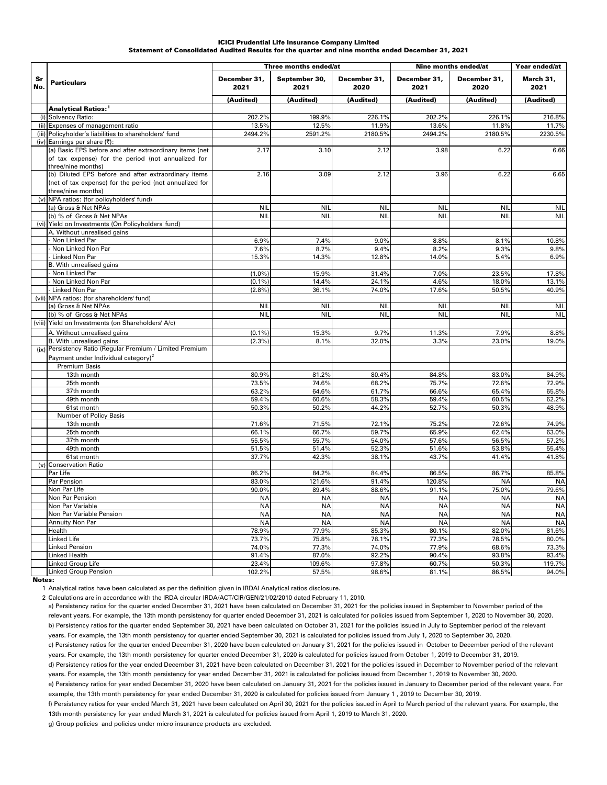#### Statement of Consolidated Audited Results for the quarter and nine months ended December 31, 2021 ICICI Prudential Life Insurance Company Limited

|           |                                                                                                                                                                     |                      | Three months ended/at |                      | Nine months ended/at |                      | Year ended/at          |  |
|-----------|---------------------------------------------------------------------------------------------------------------------------------------------------------------------|----------------------|-----------------------|----------------------|----------------------|----------------------|------------------------|--|
| Sr<br>No. | <b>Particulars</b>                                                                                                                                                  | December 31,<br>2021 | September 30,<br>2021 | December 31,<br>2020 | December 31,<br>2021 | December 31,<br>2020 | March 31,<br>2021      |  |
|           |                                                                                                                                                                     | (Audited)            | (Audited)             | (Audited)            | (Audited)            | (Audited)            | (Audited)              |  |
|           | Analytical Ratios: <sup>1</sup>                                                                                                                                     |                      |                       |                      |                      |                      |                        |  |
|           | (i) Solvency Ratio:                                                                                                                                                 | 202.2%               | 199.9%                | 226.1%               | 202.2%               | 226.1%               | 216.8%                 |  |
|           | (ii) Expenses of management ratio                                                                                                                                   | 13.5%                | 12.5%                 | 11.9%                | 13.6%                | 11.8%                | 11.7%                  |  |
|           | (iii) Policyholder's liabilities to shareholders' fund                                                                                                              | 2494.2%              | 2591.2%               | 2180.5%              | 2494.2%              | 2180.5%              | 2230.5%                |  |
|           | (iv) Earnings per share (₹):<br>(a) Basic EPS before and after extraordinary items (net<br>of tax expense) for the period (not annualized for<br>three/nine months) | 2.17                 | 3.10                  | 2.12                 | 3.98                 | 6.22                 | 6.66                   |  |
|           | (b) Diluted EPS before and after extraordinary items<br>(net of tax expense) for the period (not annualized for<br>three/nine months)                               | 2.16                 | 3.09                  | 2.12                 | 3.96                 | 6.22                 | 6.65                   |  |
|           | (v) NPA ratios: (for policyholders' fund)                                                                                                                           |                      |                       |                      |                      |                      |                        |  |
|           | (a) Gross & Net NPAs                                                                                                                                                | <b>NIL</b>           | <b>NII</b>            | <b>NIL</b>           | <b>NIL</b>           | <b>NIL</b>           | <b>NIL</b>             |  |
|           | (b) % of Gross & Net NPAs                                                                                                                                           | <b>NIL</b>           | <b>NIL</b>            | <b>NIL</b>           | <b>NIL</b>           | <b>NIL</b>           | <b>NIL</b>             |  |
|           | (vi) Yield on Investments (On Policyholders' fund)<br>A. Without unrealised gains                                                                                   |                      |                       |                      |                      |                      |                        |  |
|           | Non Linked Par                                                                                                                                                      | 6.9%                 | 7.4%                  | 9.0%                 | 8.8%                 | 8.1%                 | 10.8%                  |  |
|           | Non Linked Non Par                                                                                                                                                  | 7.6%                 | 8.7%                  | 9.4%                 | 8.2%                 | 9.3%                 | 9.8%                   |  |
|           | Linked Non Par                                                                                                                                                      | 15.3%                | 14.3%                 | 12.8%                | 14.0%                | 5.4%                 | 6.9%                   |  |
|           | B. With unrealised gains                                                                                                                                            |                      |                       |                      |                      |                      |                        |  |
|           | Non Linked Par                                                                                                                                                      | (1.0%                | 15.9%                 | 31.4%                | 7.0%                 | 23.5%                | 17.8%                  |  |
|           | Non Linked Non Par                                                                                                                                                  | (0.1%                | 14.4%                 | 24.1%                | 4.6%                 | 18.0%                | 13.1%                  |  |
|           | Linked Non Par                                                                                                                                                      | (2.8%                | 36.1%                 | 74.0%                | 17.6%                | 50.5%                | 40.9%                  |  |
|           | (vii) NPA ratios: (for shareholders' fund)                                                                                                                          |                      |                       |                      |                      |                      |                        |  |
|           | (a) Gross & Net NPAs                                                                                                                                                | <b>NIL</b>           | <b>NII</b>            | <b>NIL</b>           | <b>NIL</b>           | <b>NIL</b>           | <b>NIL</b>             |  |
|           | (b) % of Gross & Net NPAs                                                                                                                                           | <b>NIL</b>           | <b>NIL</b>            | <b>NIL</b>           | <b>NIL</b>           | <b>NIL</b>           | <b>NIL</b>             |  |
|           | (viii) Yield on Investments (on Shareholders' A/c)                                                                                                                  |                      |                       |                      |                      |                      |                        |  |
|           | A. Without unrealised gains                                                                                                                                         | (0.1%                | 15.3%                 | 9.7%                 | 11.3%                | 7.9%                 | 8.8%                   |  |
|           | B. With unrealised gains<br>(ix) Persistency Ratio (Regular Premium / Limited Premium<br>Payment under Individual category) <sup>2</sup>                            | (2.3%)               | 8.1%                  | 32.0%                | 3.3%                 | 23.0%                | 19.0%                  |  |
|           | <b>Premium Basis</b>                                                                                                                                                |                      |                       |                      |                      |                      |                        |  |
|           | 13th month                                                                                                                                                          | 80.9%                | 81.2%                 | 80.4%                | 84.8%                | 83.0%                | 84.9%                  |  |
|           | 25th month                                                                                                                                                          | 73.5%                | 74.6%                 | 68.2%                | 75.7%                | 72.6%                | 72.9%                  |  |
|           | 37th month                                                                                                                                                          | 63.2%                | 64.6%                 | 61.7%                | 66.6%                | 65.4%                | 65.8%                  |  |
|           | 49th month                                                                                                                                                          | 59.4%                | 60.6%                 | 58.3%                | 59.4%                | 60.5%                | 62.2%                  |  |
|           | 61st month                                                                                                                                                          | 50.3%                | 50.2%                 | 44.2%                | 52.7%                | 50.3%                | 48.9%                  |  |
|           | Number of Policy Basis<br>13th month                                                                                                                                | 71.6%                | 71.5%                 | 72.1%                | 75.2%                | 72.6%                | 74.9%                  |  |
|           | 25th month                                                                                                                                                          | 66.1%                | 66.7%                 | 59.7%                | 65.9%                | 62.4%                | 63.0%                  |  |
|           | 37th month                                                                                                                                                          | 55.5%                | 55.7%                 | 54.0%                | 57.6%                | 56.5%                | 57.2%                  |  |
|           | 49th month                                                                                                                                                          | 51.5%                | 51.4%                 | 52.3%                | 51.6%                | 53.8%                | 55.4%                  |  |
|           | 61st month                                                                                                                                                          | 37.7%                | 42.3%                 | 38.1%                | 43.7%                | 41.4%                | 41.8%                  |  |
|           | (x) Conservation Ratio                                                                                                                                              |                      |                       |                      |                      |                      |                        |  |
|           | Par Life                                                                                                                                                            | 86.2%                | 84.2%                 | 84.4%                | 86.5%                | 86.7%                | 85.8%                  |  |
|           | Par Pension                                                                                                                                                         | 83.0%                | 121.6%                | 91.4%                | 120.8%               | <b>NA</b>            | <b>NA</b>              |  |
|           | Non Par Life                                                                                                                                                        | 90.0%                | 89.4%                 | 88.6%                | 91.1%                | 75.0%                | 79.6%                  |  |
|           | Non Par Pension                                                                                                                                                     | <b>NA</b>            | <b>NA</b>             | <b>NA</b>            | <b>NA</b>            | <b>NA</b>            | <b>NA</b>              |  |
|           | Non Par Variable                                                                                                                                                    | <b>NA</b>            | <b>NA</b>             | <b>NA</b>            | <b>NA</b>            | <b>NA</b>            | <b>NA</b>              |  |
|           | Non Par Variable Pension                                                                                                                                            | <b>NA</b>            | <b>NA</b>             | <b>NA</b>            | <b>NA</b>            | <b>NA</b>            | <b>NA</b><br><b>NA</b> |  |
|           | Annuity Non Par<br>Health                                                                                                                                           | <b>NA</b><br>78.9%   | <b>NA</b><br>77.9%    | <b>NA</b><br>85.3%   | <b>NA</b><br>80.1%   | <b>NA</b><br>82.0%   | 81.6%                  |  |
|           | Linked Life                                                                                                                                                         | 73.7%                | 75.8%                 | 78.1%                | 77.3%                | 78.5%                | 80.0%                  |  |
|           | Linked Pension                                                                                                                                                      | 74.0%                | 77.3%                 | 74.0%                | 77.9%                | 68.6%                | 73.3%                  |  |
|           | <b>Linked Health</b>                                                                                                                                                | 91.4%                | 87.0%                 | 92.2%                | 90.4%                | 93.8%                | 93.4%                  |  |
|           | Linked Group Life                                                                                                                                                   | 23.4%                | 109.6%                | 97.8%                | 60.7%                | 50.3%                | 119.7%                 |  |
|           | Linked Group Pension                                                                                                                                                | 102.2%               | 57.5%                 | 98.6%                | 81.1%                | 86.5%                | 94.0%                  |  |

Notes:

1 Analytical ratios have been calculated as per the definition given in IRDAI Analytical ratios disclosure.

2 Calculations are in accordance with the IRDA circular IRDA/ACT/CIR/GEN/21/02/2010 dated February 11, 2010.

a) Persistency ratios for the quarter ended December 31, 2021 have been calculated on December 31, 2021 for the policies issued in September to November period of the relevant years. For example, the 13th month persistency for quarter ended December 31, 2021 is calculated for policies issued from September 1, 2020 to November 30, 2020. b) Persistency ratios for the quarter ended September 30, 2021 have been calculated on October 31, 2021 for the policies issued in July to September period of the relevant years. For example, the 13th month persistency for quarter ended September 30, 2021 is calculated for policies issued from July 1, 2020 to September 30, 2020. c) Persistency ratios for the quarter ended December 31, 2020 have been calculated on January 31, 2021 for the policies issued in October to December period of the relevant years. For example, the 13th month persistency for quarter ended December 31, 2020 is calculated for policies issued from October 1, 2019 to December 31, 2019. d) Persistency ratios for the year ended December 31, 2021 have been calculated on December 31, 2021 for the policies issued in December to November period of the relevant years. For example, the 13th month persistency for year ended December 31, 2021 is calculated for policies issued from December 1, 2019 to November 30, 2020. e) Persistency ratios for year ended December 31, 2020 have been calculated on January 31, 2021 for the policies issued in January to December period of the relevant years. For example, the 13th month persistency for year ended December 31, 2020 is calculated for policies issued from January 1 , 2019 to December 30, 2019. f) Persistency ratios for year ended March 31, 2021 have been calculated on April 30, 2021 for the policies issued in April to March period of the relevant years. For example, the

13th month persistency for year ended March 31, 2021 is calculated for policies issued from April 1, 2019 to March 31, 2020.

g) Group policies and policies under micro insurance products are excluded.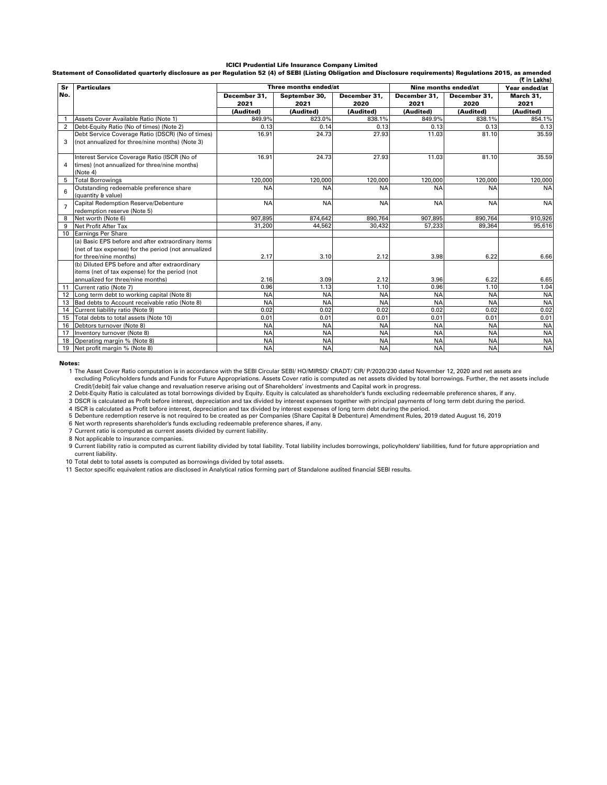#### ICICI Prudential Life Insurance Company Limited

Statement of Consolidated quarterly disclosure as per Regulation 52 (4) of SEBI (Listing Obligation and Disclosure requirements) Regulations 2015, as amended

|                | (₹ in Lakhs)                                                        |              |                       |              |                      |               |           |
|----------------|---------------------------------------------------------------------|--------------|-----------------------|--------------|----------------------|---------------|-----------|
| Sr             | <b>Particulars</b>                                                  |              | Three months ended/at |              | Nine months ended/at | Year ended/at |           |
| No.            |                                                                     | December 31, | September 30,         | December 31, | December 31,         | December 31.  |           |
|                |                                                                     | 2021         | 2021                  | 2020         | 2021                 | 2020          | 2021      |
|                |                                                                     | (Audited)    | (Audited)             | (Audited)    | (Audited)            | (Audited)     | (Audited) |
|                | Assets Cover Available Ratio (Note 1)                               | 849.9%       | 823.0%                | 838.1%       | 849.9%               | 838.1%        | 854.1%    |
| $\overline{2}$ | Debt-Equity Ratio (No of times) (Note 2)                            | 0.13         | 0.14                  | 0.13         | 0.13                 | 0.13          | 0.13      |
|                | Debt Service Coverage Ratio (DSCR) (No of times)                    | 16.91        | 24.73                 | 27.93        | 11.03                | 81.10         | 35.59     |
| 3              | (not annualized for three/nine months) (Note 3)                     |              |                       |              |                      |               |           |
|                | Interest Service Coverage Ratio (ISCR (No of                        | 16.91        | 24.73                 | 27.93        | 11.03                | 81.10         | 35.59     |
| 4              | times) (not annualized for three/nine months)<br>(Note 4)           |              |                       |              |                      |               |           |
| 5              | <b>Total Borrowings</b>                                             | 120,000      | 120,000               | 120.000      | 120,000              | 120.000       | 120,000   |
| 6              | Outstanding redeemable preference share                             | <b>NA</b>    | <b>NA</b>             | <b>NA</b>    | <b>NA</b>            | <b>NA</b>     | <b>NA</b> |
|                | (quantity & value)                                                  |              |                       |              |                      |               |           |
| $\overline{7}$ | Capital Redemption Reserve/Debenture<br>redemption reserve (Note 5) | <b>NA</b>    | <b>NA</b>             | <b>NA</b>    | <b>NA</b>            | <b>NA</b>     | <b>NA</b> |
| 8              | Net worth (Note 6)                                                  | 907.895      | 874.642               | 890.764      | 907.895              | 890.764       | 910.926   |
| 9              | Net Profit After Tax                                                | 31,200       | 44.562                | 30,432       | 57,233               | 89.364        | 95.616    |
| 10             | Earnings Per Share                                                  |              |                       |              |                      |               |           |
|                | (a) Basic EPS before and after extraordinary items                  |              |                       |              |                      |               |           |
|                | (net of tax expense) for the period (not annualized                 |              |                       |              |                      |               |           |
|                | for three/nine months)                                              | 2.17         | 3.10                  | 2.12         | 3.98                 | 6.22          | 6.66      |
|                | (b) Diluted EPS before and after extraordinary                      |              |                       |              |                      |               |           |
|                | items (net of tax expense) for the period (not                      |              |                       |              |                      |               |           |
|                | annualized for three/nine months)                                   | 2.16         | 3.09                  | 2.12         | 3.96                 | 6.22          | 6.65      |
| 11             | Current ratio (Note 7)                                              | 0.96         | 1.13                  | 1.10         | 0.96                 | 1.10          | 1.04      |
| 12             | Long term debt to working capital (Note 8)                          | <b>NA</b>    | <b>NA</b>             | <b>NA</b>    | <b>NA</b>            | <b>NA</b>     | <b>NA</b> |
| 13             | Bad debts to Account receivable ratio (Note 8)                      | <b>NA</b>    | <b>NA</b>             | <b>NA</b>    | <b>NA</b>            | <b>NA</b>     | <b>NA</b> |
| 14             | Current liability ratio (Note 9)                                    | 0.02         | 0.02                  | 0.02         | 0.02                 | 0.02          | 0.02      |
| 15             | Total debts to total assets (Note 10)                               | 0.01         | 0.01                  | 0.01         | 0.01                 | 0.01          | 0.01      |
| 16             | Debtors turnover (Note 8)                                           | <b>NA</b>    | <b>NA</b>             | <b>NA</b>    | <b>NA</b>            | <b>NA</b>     | <b>NA</b> |
| 17             | Inventory turnover (Note 8)                                         | <b>NA</b>    | <b>NA</b>             | <b>NA</b>    | <b>NA</b>            | <b>NA</b>     | <b>NA</b> |
| 18             | Operating margin % (Note 8)                                         | <b>NA</b>    | <b>NA</b>             | <b>NA</b>    | <b>NA</b>            | <b>NA</b>     | <b>NA</b> |
| 19             | Net profit margin % (Note 8)                                        | <b>NA</b>    | <b>NA</b>             | <b>NA</b>    | <b>NA</b>            | <b>NA</b>     | <b>NA</b> |

Notes:

1 The Asset Cover Ratio computation is in accordance with the SEBI Circular SEBI/ HO/MIRSD/ CRADT/ CIR/ P/2020/230 dated November 12, 2020 and net assets are excluding Policyholders funds and Funds for Future Appropriations. Assets Cover ratio is computed as net assets divided by total borrowings. Further, the net assets include

2 3 Credit/[debit] fair value change and revaluation reserve arising out of Shareholders' investments and Capital work in progress.<br>Debt-Equity Ratio is calculated as total borrowings divided by Equity is calculated as shareho

4 ISCR is calculated as Profit before interest, depreciation and tax divided by interest expenses of long term debt during the period.<br>5 Debenture redemption reserve is not required to be created as per Companies (Share Ca

6 Net worth represents shareholder's funds excluding redeemable preference shares, if any.

7 Current ratio is computed as current assets divided by current liability. 8 Not applicable to insurance companies.

9 Current liability ratio is computed as current liability divided by total liability. Total liability includes borrowings, policyholders' liabilities, fund for future appropriation and current liability.

10 11 Total debt to total assets is computed as borrowings divided by total assets. Sector specific equivalent ratios are disclosed in Analytical ratios forming part of Standalone audited financial SEBI results.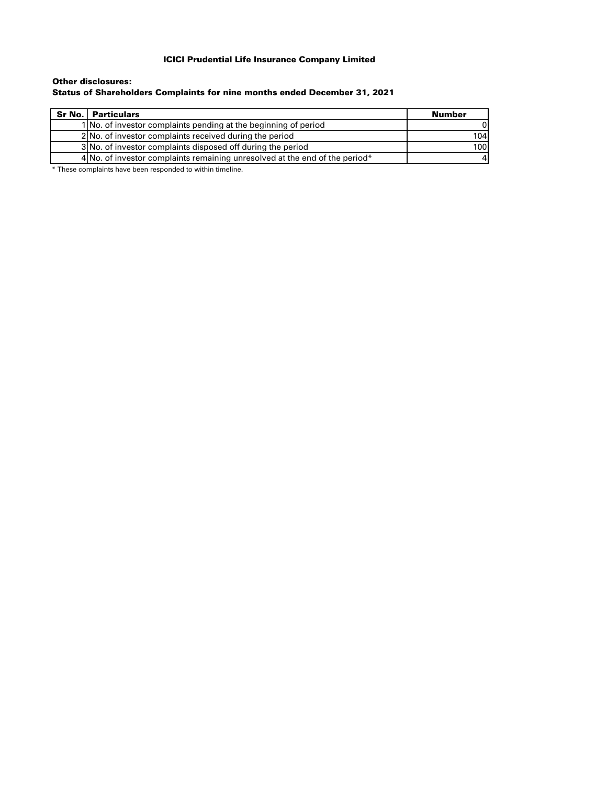### ICICI Prudential Life Insurance Company Limited

### Status of Shareholders Complaints for nine months ended December 31, 2021 Other disclosures:

| <b>Sr No.   Particulars</b>                                                 | Number |
|-----------------------------------------------------------------------------|--------|
| 1 No. of investor complaints pending at the beginning of period             |        |
| 2 No. of investor complaints received during the period                     | 104    |
| 3 No. of investor complaints disposed off during the period                 | 100    |
| 4 No. of investor complaints remaining unresolved at the end of the period* |        |

\* These complaints have been responded to within timeline.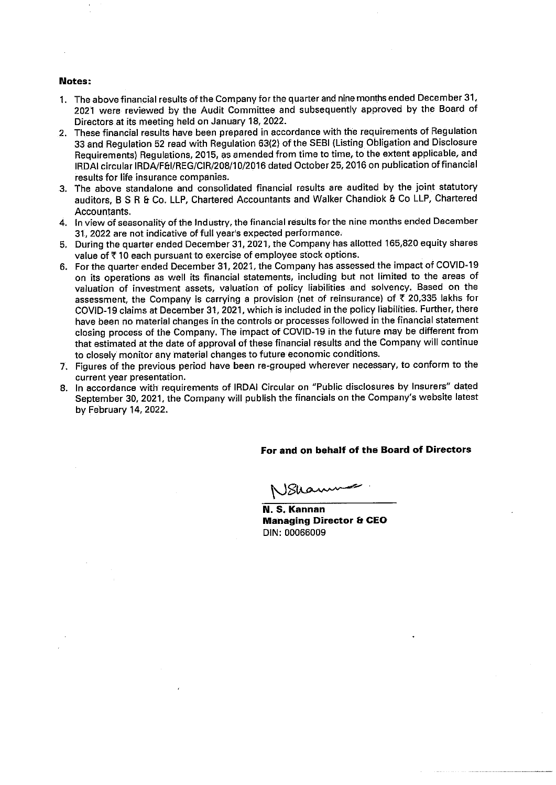#### Notes:

- 1. The above financial results of the Company for the quarter and nine months ended December 31, 2021 were reviewed by the Audit Committee and subsequently approved by the Board of Directors at its meeting held on January 18, 2022.
- 2. These financial results have been prepared in accordance with the requirements of Regulation 33 and Regulation 52 read with Regulation 63(2) of the SEBI (Listing Obligation and Disclosure Requirements) Regulations, 2015, as amended from time to time, to the extent applicable, and IRDAI circular IRDA/F&I/REG/CIR/208/10/2016 dated October 25, 2016 on publication of financial results for life insurance companies.
- 3. The above standalone and consolidated financial results are audited by the joint statutory auditors, B S R & Co. LLP, Chartered Accountants and Walker Chandiok & Co LLP, Chartered Accountants.
- 4. In view of seasonality of the Industry, the financial results for the nine months ended December 31, 2022 are not indicative of full year's expected performance.
- 5. During the quarter ended December 31, 2021, the Company has allotted 165,820 equity shares value of ₹10 each pursuant to exercise of employee stock options.
- 6. For the quarter ended December 31, 2021, the Company has assessed the impact of COVID-19 on its operations as well its financial statements, including but not limited to the areas of valuation of investment assets, valuation of policy liabilities and solvency. Based on the assessment, the Company is carrying a provision (net of reinsurance) of ₹ 20,335 lakhs for COVID-19 claims at December 31, 2021, which is included in the policy liabilities. Further, there have been no material changes in the controls or processes followed in the financial statement closing process of the Company. The impact of COVID-19 in the future may be different from that estimated at the date of approval of these financial results and the Company will continue to closely monitor any material changes to future economic conditions.
- 7. Figures of the previous period have been re-grouped wherever necessary, to conform to the current vear presentation.
- 8. In accordance with requirements of IRDAI Circular on "Public disclosures by Insurers" dated September 30, 2021, the Company will publish the financials on the Company's website latest by February 14, 2022.

### For and on behalf of the Board of Directors

سىمە

N. S. Kannan **Managing Director & CEO** DIN: 00066009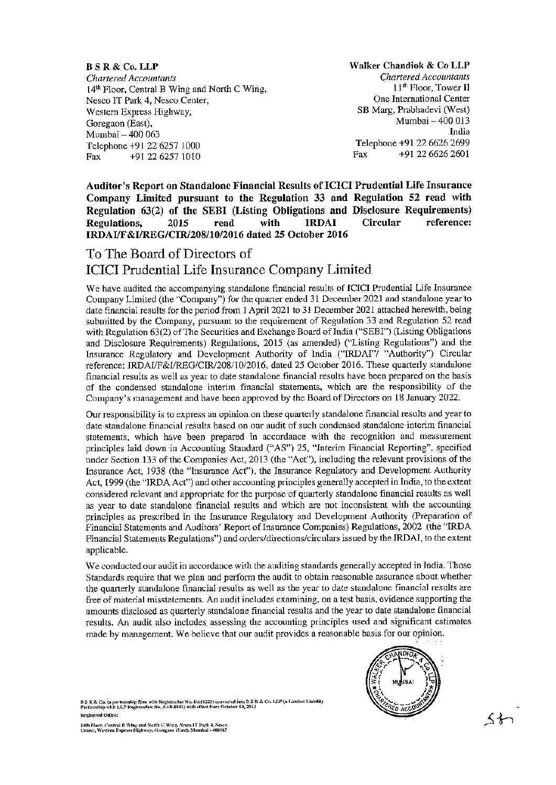**B S R & Co. LLP** Chartered Accountants 14<sup>th</sup> Floor, Central B Wing and North C Wing, Nesco IT Park 4, Nesco Center, Western Express Highway, Goregaon (East). Mumbai - 400 063 Telephone +91 22 6257 1000 +91 22 6257 1010 Fax

Walker Chandiok & Co LLP **Chartered Accountants** 11<sup>th</sup> Floor, Tower II One International Center SB Marg, Prabhadevi (West) Mumbai - 400.013 India Telephone +91 22 6626 2699 +91 22 6626 2601 Fax

Auditor's Report on Standalone Financial Results of ICICI Prudential Life Insurance Company Limited pursuant to the Regulation 33 and Regulation 52 read with Regulation 63(2) of the SEBI (Listing Obligations and Disclosure Requirements) **Circular** reference: Regulations. 2015 read with **IRDAI** IRDAI/F&I/REG/CIR/208/10/2016 dated 25 October 2016

# To The Board of Directors of **ICICI** Prudential Life Insurance Company Limited

We have audited the accompanying standalone financial results of ICICI Prudential Life Insurance Company Limited (the "Company") for the quarter ended 31 December 2021 and standalone year to date financial results for the period from 1 April 2021 to 31 December 2021 attached herewith, being submitted by the Company, pursuant to the requirement of Regulation 33 and Regulation 52 read with Regulation 63(2) of The Securities and Exchange Board of India ("SEBI") (Listing Obligations and Disclosure Requirements) Regulations, 2015 (as amended) ("Listing Regulations") and the Insurance Regulatory and Development Authority of India ("IRDAI"/ "Authority") Circular reference: IRDAI/F&I/REG/CIR/208/10/2016, dated 25 October 2016. These quarterly standalone financial results as well as year to date standalone financial results have been prepared on the basis of the condensed standalone interim financial statements, which are the responsibility of the Company's management and have been approved by the Board of Directors on 18 January 2022.

Our responsibility is to express an opinion on these quarterly standalone financial results and year to date standalone financial results based on our audit of such condensed standalone interim financial statements, which have been prepared in accordance with the recognition and measurement principles laid down in Accounting Standard ("AS") 25, "Interim Financial Reporting", specified under Section 133 of the Companies Act, 2013 (the "Act"), including the relevant provisions of the Insurance Act, 1938 (the "Insurance Act"), the Insurance Regulatory and Development Authority Act, 1999 (the "IRDA Act") and other accounting principles generally accepted in India, to the extent considered relevant and appropriate for the purpose of quarterly standalone financial results as well as year to date standalone financial results and which are not inconsistent with the accounting principles as prescribed in the Insurance Regulatory and Development Authority (Preparation of Financial Statements and Auditors' Report of Insurance Companies) Regulations, 2002 (the "IRDA Financial Statements Regulations") and orders/directions/circulars issued by the IRDAI, to the extent applicable.

We conducted our audit in accordance with the auditing standards generally accepted in India. Those Standards require that we plan and perform the audit to obtain reasonable assurance about whether the quarterly standalone financial results as well as the year to date standalone financial results are free of material misstatements. An audit includes examining, on a test basis, evidence supporting the amounts disclosed as quarterly standalone financial results and the year to date standalone financial results. An audit also includes assessing the accounting principles used and significant estimates made by management. We believe that our audit provides a reasonable basis for our opinion.

B S R & Co. (a partnership firm with Registration No. BA61223) converted into B S R & Co. J, LP (a Limited Liability<br>Purtnership with LLP Registration No. AAB-8181) with effect from October 14, 2013 Registered Office:



14th Fioor, Central B Wing and Sorth C Wing, Nesco IT Park 4, Nesco<br>Center, Western Express Highway, Goregana (East), Mumbai - 400063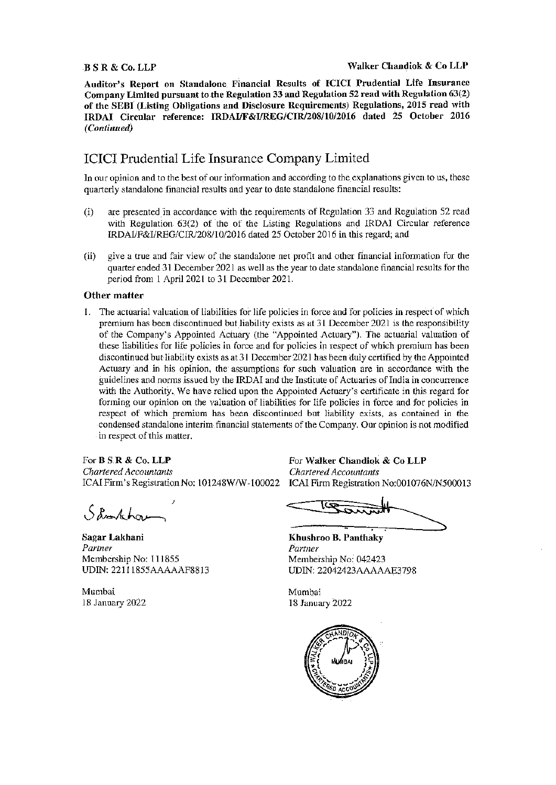### **BSR & Co. LLP**

Auditor's Report on Standalone Financial Results of ICICI Prudential Life Insurance Company Limited pursuant to the Regulation 33 and Regulation 52 read with Regulation 63(2) of the SEBI (Listing Obligations and Disclosure Requirements) Regulations, 2015 read with IRDAI Circular reference: IRDAI/F&I/REG/CIR/208/10/2016 dated 25 October 2016 (Continued)

# **ICICI Prudential Life Insurance Company Limited**

In our opinion and to the best of our information and according to the explanations given to us, these quarterly standalone financial results and year to date standalone financial results:

- are presented in accordance with the requirements of Regulation 33 and Regulation 52 read  $(i)$ with Regulation 63(2) of the of the Listing Regulations and IRDAI Circular reference IRDAI/F&I/REG/CIR/208/10/2016 dated 25 October 2016 in this regard; and
- (ii) give a true and fair view of the standalone net profit and other financial information for the quarter ended 31 December 2021 as well as the year to date standalone financial results for the period from 1 April 2021 to 31 December 2021.

### Other matter

1. The actuarial valuation of liabilities for life policies in force and for policies in respect of which premium has been discontinued but liability exists as at 31 December 2021 is the responsibility of the Company's Appointed Actuary (the "Appointed Actuary"). The actuarial valuation of these liabilities for life policies in force and for policies in respect of which premium has been discontinued but liability exists as at 31 December 2021 has been duly certified by the Appointed Actuary and in his opinion, the assumptions for such valuation are in accordance with the guidelines and norms issued by the IRDAI and the Institute of Actuaries of India in concurrence with the Authority. We have relied upon the Appointed Actuary's certificate in this regard for forming our opinion on the valuation of liabilities for life policies in force and for policies in respect of which premium has been discontinued but liability exists, as contained in the condensed standalone interim financial statements of the Company. Our opinion is not modified in respect of this matter.

For **B** S.R & Co. LLP **Chartered Accountants** ICAI Firm's Registration No: 101248W/W-100022

Shortchar

Sagar Lakhani Partner Membership No: 111855 UDIN: 22111855AAAAAAF8813

Mumbai 18 January 2022

For Walker Chandiok & Co LLP **Chartered Accountants** ICAI Firm Registration No:001076N/N500013

Khushroo B. Panthaky Partner Membership No: 042423 UDIN: 22042423AAAAAE3798

Mumbai 18 January 2022

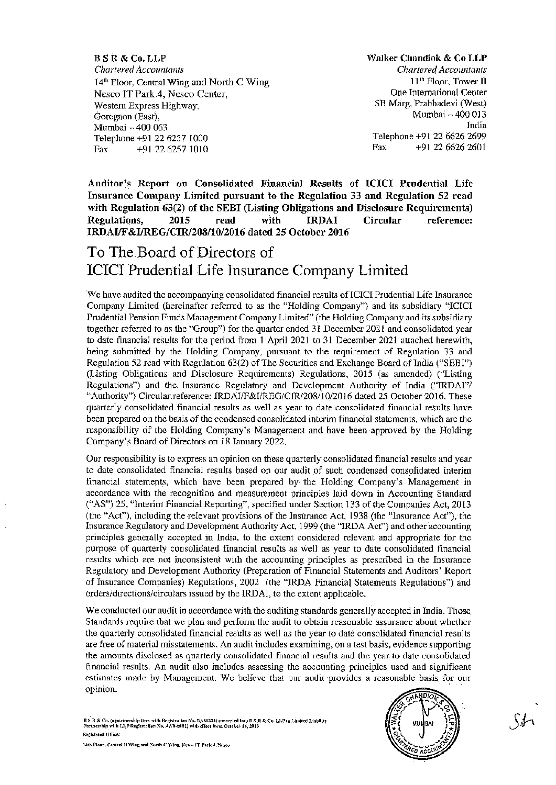**B S R & Co. LLP Chartered Accountants** 14<sup>th</sup> Floor, Central Wing and North C Wing Nesco IT Park 4, Nesco Center, Western Express Highway, Goregaon (East), Mumbai - 400 063 Telephone +91 22 6257 1000 Fax +91 22 6257 1010

Walker Chandiok & Co LLP Chartered Accountants 11<sup>th</sup> Floor, Tower II One International Center SB Marg, Prabhadevi (West) Mumbai - 400 013 India Telephone +91 22 6626 2699 Fax +91 22 6626 2601

Auditor's Report on Consolidated Financial Results of ICICI Prudential Life Insurance Company Limited pursuant to the Regulation 33 and Regulation 52 read with Regulation 63(2) of the SEBI (Listing Obligations and Disclosure Requirements) 2015 Regulations, read with **IRDAI** Circular reference: IRDAI/F&I/REG/CIR/208/10/2016 dated 25 October 2016

# To The Board of Directors of **ICICI** Prudential Life Insurance Company Limited

We have audited the accompanying consolidated financial results of ICICI Prudential Life Insurance Company Limited (hereinafter referred to as the "Holding Company") and its subsidiary "ICICI Prudential Pension Funds Management Company Limited" (the Holding Company and its subsidiary together referred to as the "Group") for the quarter ended 31 December 2021 and consolidated year to date financial results for the period from 1 April 2021 to 31 December 2021 attached herewith, being submitted by the Holding Company, pursuant to the requirement of Regulation 33 and Regulation 52 read with Regulation 63(2) of The Securities and Exchange Board of India ("SEBI") (Listing Obligations and Disclosure Requirements) Regulations, 2015 (as amended) ("Listing Regulations") and the Insurance Regulatory and Development Authority of India ("IRDAI") "Authority") Circular reference: IRDAI/F&I/REG/CIR/208/10/2016 dated 25 October 2016. These quarterly consolidated financial results as well as year to date consolidated financial results have been prepared on the basis of the condensed consolidated interim financial statements, which are the responsibility of the Holding Company's Management and have been approved by the Holding Company's Board of Directors on 18 January 2022.

Our responsibility is to express an opinion on these quarterly consolidated financial results and year to date consolidated financial results based on our audit of such condensed consolidated interim financial statements, which have been prepared by the Holding Company's Management in accordance with the recognition and measurement principles laid down in Accounting Standard ("AS") 25, "Interim Financial Reporting", specified under Section 133 of the Companies Act, 2013 (the "Act"), including the relevant provisions of the Insurance Act, 1938 (the "Insurance Act"), the Insurance Regulatory and Development Authority Act, 1999 (the "IRDA Act") and other accounting principles generally accepted in India, to the extent considered relevant and appropriate for the purpose of quarterly consolidated financial results as well as year to date consolidated financial results which are not inconsistent with the accounting principles as prescribed in the Insurance Regulatory and Development Authority (Preparation of Financial Statements and Auditors' Report of Insurance Companies) Regulations, 2002 (the "IRDA Financial Statements Regulations") and orders/directions/circulars issued by the IRDAI, to the extent applicable.

We conducted our audit in accordance with the auditing standards generally accepted in India. Those Standards require that we plan and perform the audit to obtain reasonable assurance about whether the quarterly consolidated financial results as well as the year to date consolidated financial results are free of material misstatements. An audit includes examining, on a test basis, evidence supporting the amounts disclosed as quarterly consolidated financial results and the year to date consolidated financial results. An audit also includes assessing the accounting principles used and significant estimates made by Management. We believe that our audit provides a reasonable basis for our opinion.

B S R & Co. (a partnership firm with Registration No. BA61223) converted into B S R & Co. LLP (a.Limited Liab<br>Partnership with LLP Registration No. AAB-8181) with effect from October 14, 2013 Registered Office: